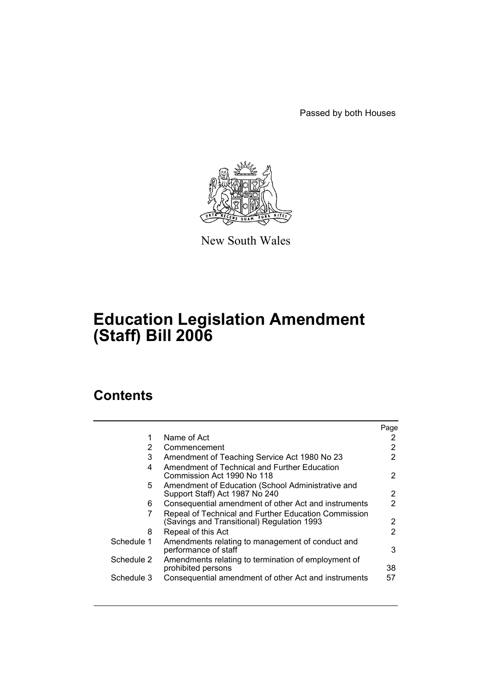Passed by both Houses



New South Wales

# **Education Legislation Amendment (Staff) Bill 2006**

# **Contents**

|            |                                                                                                    | Page |
|------------|----------------------------------------------------------------------------------------------------|------|
| 1          | Name of Act                                                                                        |      |
| 2          | Commencement                                                                                       |      |
| 3          | Amendment of Teaching Service Act 1980 No 23                                                       | 2    |
| 4          | Amendment of Technical and Further Education<br>Commission Act 1990 No 118                         | 2    |
| 5.         | Amendment of Education (School Administrative and<br>Support Staff) Act 1987 No 240                | 2    |
| 6          | Consequential amendment of other Act and instruments                                               | 2    |
| 7          | Repeal of Technical and Further Education Commission<br>(Savings and Transitional) Regulation 1993 | 2    |
| 8          | Repeal of this Act                                                                                 | 2    |
| Schedule 1 | Amendments relating to management of conduct and<br>performance of staff                           | 3    |
| Schedule 2 | Amendments relating to termination of employment of<br>prohibited persons                          | 38   |
| Schedule 3 | Consequential amendment of other Act and instruments                                               | 57   |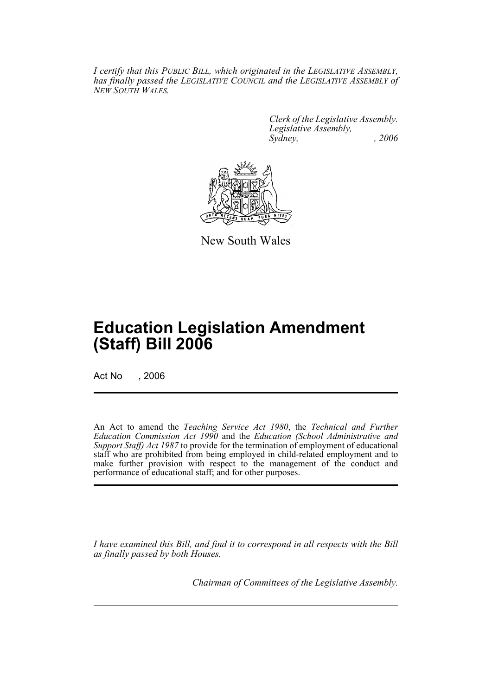*I certify that this PUBLIC BILL, which originated in the LEGISLATIVE ASSEMBLY, has finally passed the LEGISLATIVE COUNCIL and the LEGISLATIVE ASSEMBLY of NEW SOUTH WALES.*

> *Clerk of the Legislative Assembly. Legislative Assembly, Sydney, , 2006*



New South Wales

# **Education Legislation Amendment (Staff) Bill 2006**

Act No . 2006

An Act to amend the *Teaching Service Act 1980*, the *Technical and Further Education Commission Act 1990* and the *Education (School Administrative and Support Staff) Act 1987* to provide for the termination of employment of educational staff who are prohibited from being employed in child-related employment and to make further provision with respect to the management of the conduct and performance of educational staff; and for other purposes.

*I have examined this Bill, and find it to correspond in all respects with the Bill as finally passed by both Houses.*

*Chairman of Committees of the Legislative Assembly.*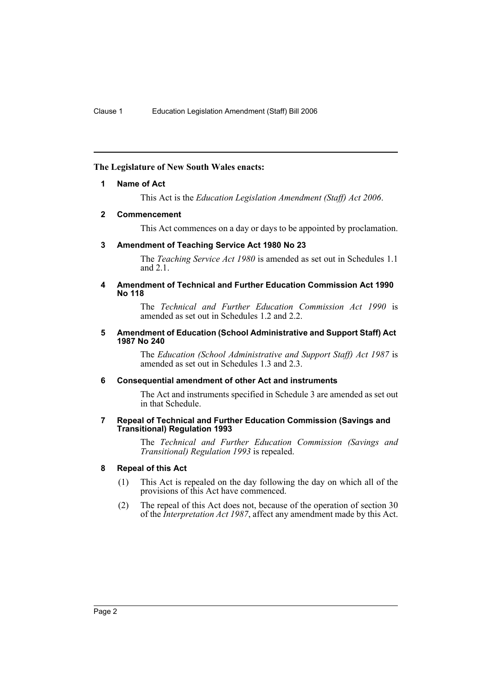#### **The Legislature of New South Wales enacts:**

#### **1 Name of Act**

This Act is the *Education Legislation Amendment (Staff) Act 2006*.

#### **2 Commencement**

This Act commences on a day or days to be appointed by proclamation.

#### **3 Amendment of Teaching Service Act 1980 No 23**

The *Teaching Service Act 1980* is amended as set out in Schedules 1.1 and 2.1.

#### **4 Amendment of Technical and Further Education Commission Act 1990 No 118**

The *Technical and Further Education Commission Act 1990* is amended as set out in Schedules 1.2 and 2.2.

#### **5 Amendment of Education (School Administrative and Support Staff) Act 1987 No 240**

The *Education (School Administrative and Support Staff) Act 1987* is amended as set out in Schedules 1.3 and 2.3.

#### **6 Consequential amendment of other Act and instruments**

The Act and instruments specified in Schedule 3 are amended as set out in that Schedule.

#### **7 Repeal of Technical and Further Education Commission (Savings and Transitional) Regulation 1993**

The *Technical and Further Education Commission (Savings and Transitional) Regulation 1993* is repealed.

#### **8 Repeal of this Act**

- (1) This Act is repealed on the day following the day on which all of the provisions of this Act have commenced.
- (2) The repeal of this Act does not, because of the operation of section 30 of the *Interpretation Act 1987*, affect any amendment made by this Act.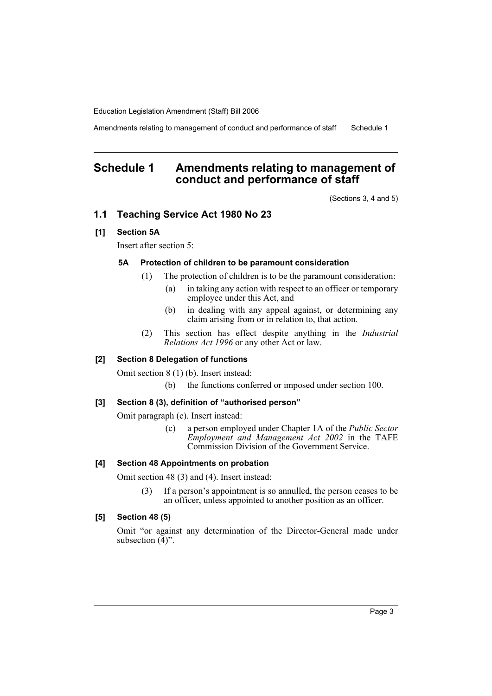Amendments relating to management of conduct and performance of staff Schedule 1

# **Schedule 1 Amendments relating to management of conduct and performance of staff**

(Sections 3, 4 and 5)

# **1.1 Teaching Service Act 1980 No 23**

# **[1] Section 5A**

Insert after section 5:

# **5A Protection of children to be paramount consideration**

- (1) The protection of children is to be the paramount consideration:
	- (a) in taking any action with respect to an officer or temporary employee under this Act, and
	- (b) in dealing with any appeal against, or determining any claim arising from or in relation to, that action.
- (2) This section has effect despite anything in the *Industrial Relations Act 1996* or any other Act or law.

#### **[2] Section 8 Delegation of functions**

Omit section 8 (1) (b). Insert instead:

(b) the functions conferred or imposed under section 100.

# **[3] Section 8 (3), definition of "authorised person"**

Omit paragraph (c). Insert instead:

(c) a person employed under Chapter 1A of the *Public Sector Employment and Management Act 2002* in the TAFE Commission Division of the Government Service.

#### **[4] Section 48 Appointments on probation**

Omit section 48 (3) and (4). Insert instead:

(3) If a person's appointment is so annulled, the person ceases to be an officer, unless appointed to another position as an officer.

#### **[5] Section 48 (5)**

Omit "or against any determination of the Director-General made under subsection  $(\overline{4})$ ".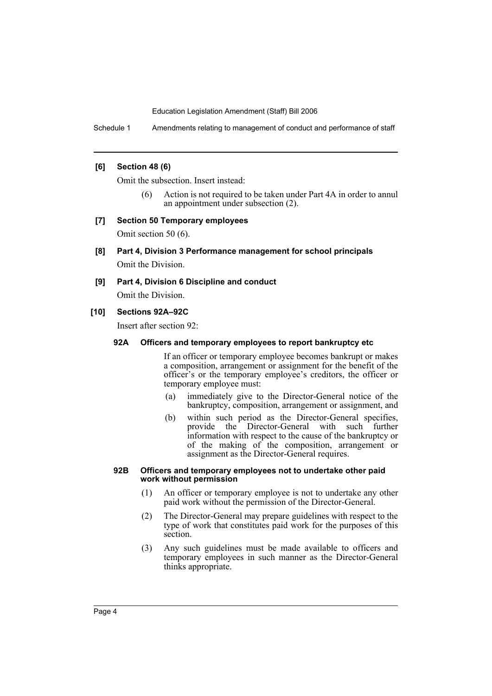Schedule 1 Amendments relating to management of conduct and performance of staff

# **[6] Section 48 (6)**

Omit the subsection. Insert instead:

(6) Action is not required to be taken under Part 4A in order to annul an appointment under subsection (2).

#### **[7] Section 50 Temporary employees**

Omit section 50 (6).

- **[8] Part 4, Division 3 Performance management for school principals** Omit the Division.
- **[9] Part 4, Division 6 Discipline and conduct**

Omit the Division.

# **[10] Sections 92A–92C**

Insert after section 92:

# **92A Officers and temporary employees to report bankruptcy etc**

If an officer or temporary employee becomes bankrupt or makes a composition, arrangement or assignment for the benefit of the officer's or the temporary employee's creditors, the officer or temporary employee must:

- (a) immediately give to the Director-General notice of the bankruptcy, composition, arrangement or assignment, and
- (b) within such period as the Director-General specifies, provide the Director-General with such further information with respect to the cause of the bankruptcy or of the making of the composition, arrangement or assignment as the Director-General requires.

#### **92B Officers and temporary employees not to undertake other paid work without permission**

- (1) An officer or temporary employee is not to undertake any other paid work without the permission of the Director-General.
- (2) The Director-General may prepare guidelines with respect to the type of work that constitutes paid work for the purposes of this section.
- (3) Any such guidelines must be made available to officers and temporary employees in such manner as the Director-General thinks appropriate.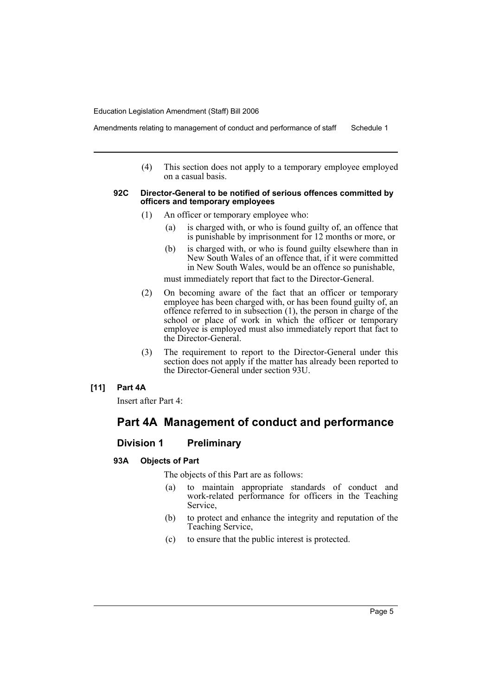Amendments relating to management of conduct and performance of staff Schedule 1

(4) This section does not apply to a temporary employee employed on a casual basis.

#### **92C Director-General to be notified of serious offences committed by officers and temporary employees**

- (1) An officer or temporary employee who:
	- (a) is charged with, or who is found guilty of, an offence that is punishable by imprisonment for 12 months or more, or
	- (b) is charged with, or who is found guilty elsewhere than in New South Wales of an offence that, if it were committed in New South Wales, would be an offence so punishable,

must immediately report that fact to the Director-General.

- (2) On becoming aware of the fact that an officer or temporary employee has been charged with, or has been found guilty of, an offence referred to in subsection (1), the person in charge of the school or place of work in which the officer or temporary employee is employed must also immediately report that fact to the Director-General.
- (3) The requirement to report to the Director-General under this section does not apply if the matter has already been reported to the Director-General under section 93U.

# **[11] Part 4A**

Insert after Part 4:

# **Part 4A Management of conduct and performance**

# **Division 1 Preliminary**

# **93A Objects of Part**

The objects of this Part are as follows:

- (a) to maintain appropriate standards of conduct and work-related performance for officers in the Teaching Service,
- (b) to protect and enhance the integrity and reputation of the Teaching Service,
- (c) to ensure that the public interest is protected.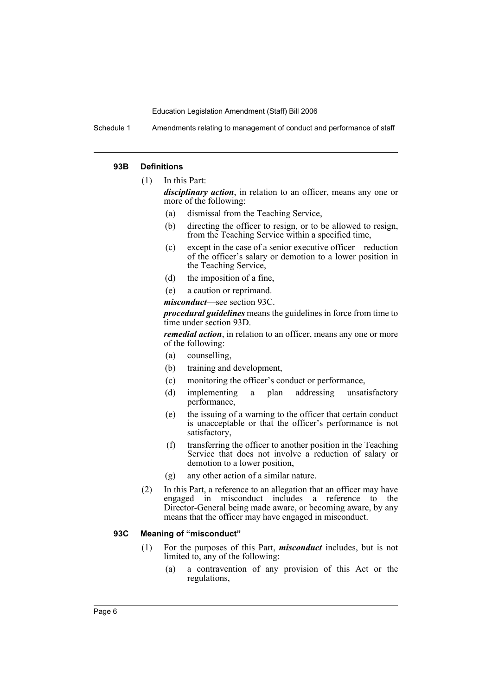Schedule 1 Amendments relating to management of conduct and performance of staff

#### **93B Definitions**

(1) In this Part:

*disciplinary action*, in relation to an officer, means any one or more of the following:

- (a) dismissal from the Teaching Service,
- (b) directing the officer to resign, or to be allowed to resign, from the Teaching Service within a specified time,
- (c) except in the case of a senior executive officer—reduction of the officer's salary or demotion to a lower position in the Teaching Service,
- (d) the imposition of a fine,
- (e) a caution or reprimand.
- *misconduct*—see section 93C.

*procedural guidelines* means the guidelines in force from time to time under section 93D.

*remedial action*, in relation to an officer, means any one or more of the following:

- (a) counselling,
- (b) training and development,
- (c) monitoring the officer's conduct or performance,
- (d) implementing a plan addressing unsatisfactory performance,
- (e) the issuing of a warning to the officer that certain conduct is unacceptable or that the officer's performance is not satisfactory,
- (f) transferring the officer to another position in the Teaching Service that does not involve a reduction of salary or demotion to a lower position,
- (g) any other action of a similar nature.
- (2) In this Part, a reference to an allegation that an officer may have engaged in misconduct includes a reference to the Director-General being made aware, or becoming aware, by any means that the officer may have engaged in misconduct.

#### **93C Meaning of "misconduct"**

- (1) For the purposes of this Part, *misconduct* includes, but is not limited to, any of the following:
	- (a) a contravention of any provision of this Act or the regulations,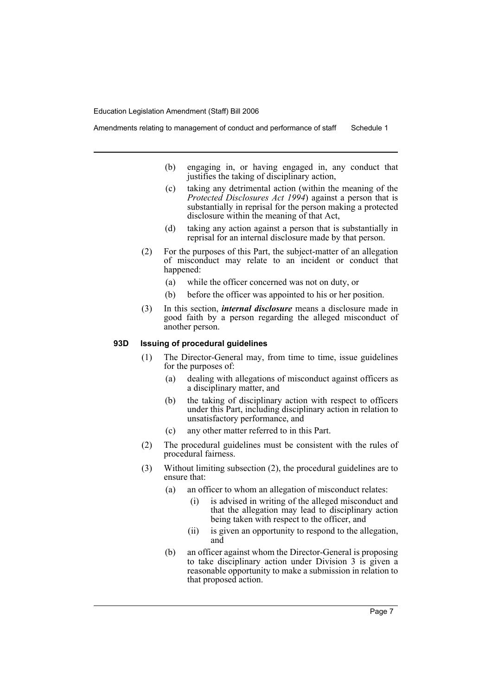- (b) engaging in, or having engaged in, any conduct that justifies the taking of disciplinary action,
- (c) taking any detrimental action (within the meaning of the *Protected Disclosures Act 1994*) against a person that is substantially in reprisal for the person making a protected disclosure within the meaning of that Act,
- (d) taking any action against a person that is substantially in reprisal for an internal disclosure made by that person.
- (2) For the purposes of this Part, the subject-matter of an allegation of misconduct may relate to an incident or conduct that happened:
	- (a) while the officer concerned was not on duty, or
	- (b) before the officer was appointed to his or her position.
- (3) In this section, *internal disclosure* means a disclosure made in good faith by a person regarding the alleged misconduct of another person.

#### **93D Issuing of procedural guidelines**

- (1) The Director-General may, from time to time, issue guidelines for the purposes of:
	- (a) dealing with allegations of misconduct against officers as a disciplinary matter, and
	- (b) the taking of disciplinary action with respect to officers under this Part, including disciplinary action in relation to unsatisfactory performance, and
	- (c) any other matter referred to in this Part.
- (2) The procedural guidelines must be consistent with the rules of procedural fairness.
- (3) Without limiting subsection (2), the procedural guidelines are to ensure that:
	- (a) an officer to whom an allegation of misconduct relates:
		- (i) is advised in writing of the alleged misconduct and that the allegation may lead to disciplinary action being taken with respect to the officer, and
		- (ii) is given an opportunity to respond to the allegation, and
	- (b) an officer against whom the Director-General is proposing to take disciplinary action under Division 3 is given a reasonable opportunity to make a submission in relation to that proposed action.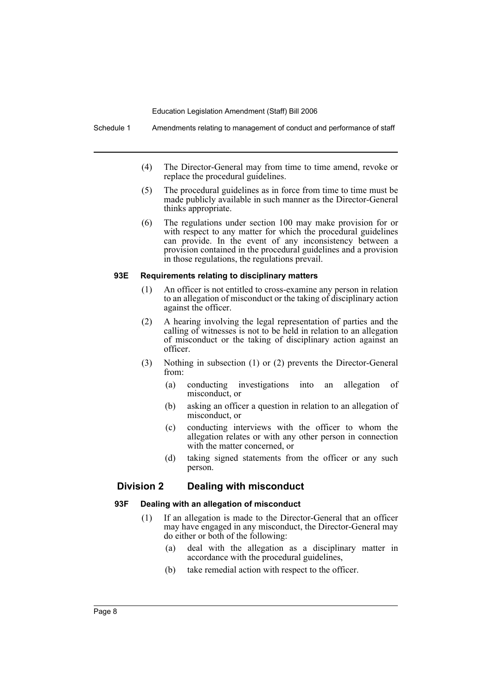Schedule 1 Amendments relating to management of conduct and performance of staff

- (4) The Director-General may from time to time amend, revoke or replace the procedural guidelines.
- (5) The procedural guidelines as in force from time to time must be made publicly available in such manner as the Director-General thinks appropriate.
- (6) The regulations under section 100 may make provision for or with respect to any matter for which the procedural guidelines can provide. In the event of any inconsistency between a provision contained in the procedural guidelines and a provision in those regulations, the regulations prevail.

#### **93E Requirements relating to disciplinary matters**

- (1) An officer is not entitled to cross-examine any person in relation to an allegation of misconduct or the taking of disciplinary action against the officer.
- (2) A hearing involving the legal representation of parties and the calling of witnesses is not to be held in relation to an allegation of misconduct or the taking of disciplinary action against an officer.
- (3) Nothing in subsection (1) or (2) prevents the Director-General from:
	- (a) conducting investigations into an allegation of misconduct, or
	- (b) asking an officer a question in relation to an allegation of misconduct, or
	- (c) conducting interviews with the officer to whom the allegation relates or with any other person in connection with the matter concerned, or
	- (d) taking signed statements from the officer or any such person.

# **Division 2 Dealing with misconduct**

#### **93F Dealing with an allegation of misconduct**

- (1) If an allegation is made to the Director-General that an officer may have engaged in any misconduct, the Director-General may do either or both of the following:
	- (a) deal with the allegation as a disciplinary matter in accordance with the procedural guidelines,
	- (b) take remedial action with respect to the officer.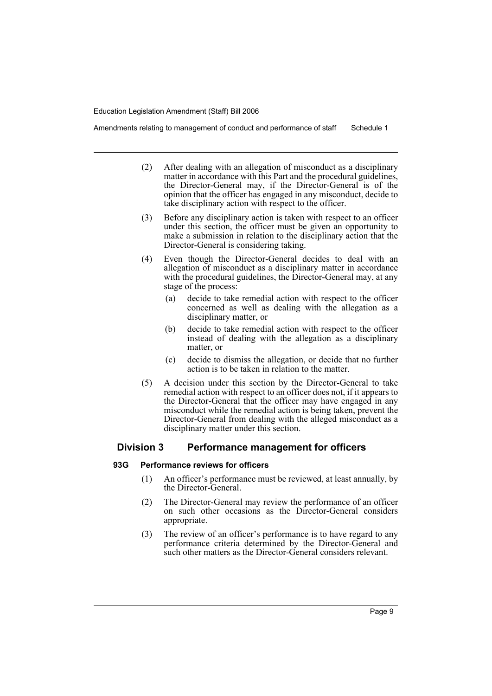Amendments relating to management of conduct and performance of staff Schedule 1

- (2) After dealing with an allegation of misconduct as a disciplinary matter in accordance with this Part and the procedural guidelines, the Director-General may, if the Director-General is of the opinion that the officer has engaged in any misconduct, decide to take disciplinary action with respect to the officer.
- (3) Before any disciplinary action is taken with respect to an officer under this section, the officer must be given an opportunity to make a submission in relation to the disciplinary action that the Director-General is considering taking.
- (4) Even though the Director-General decides to deal with an allegation of misconduct as a disciplinary matter in accordance with the procedural guidelines, the Director-General may, at any stage of the process:
	- (a) decide to take remedial action with respect to the officer concerned as well as dealing with the allegation as a disciplinary matter, or
	- (b) decide to take remedial action with respect to the officer instead of dealing with the allegation as a disciplinary matter, or
	- (c) decide to dismiss the allegation, or decide that no further action is to be taken in relation to the matter.
- (5) A decision under this section by the Director-General to take remedial action with respect to an officer does not, if it appears to the Director-General that the officer may have engaged in any misconduct while the remedial action is being taken, prevent the Director-General from dealing with the alleged misconduct as a disciplinary matter under this section.

# **Division 3 Performance management for officers**

## **93G Performance reviews for officers**

- (1) An officer's performance must be reviewed, at least annually, by the Director-General.
- (2) The Director-General may review the performance of an officer on such other occasions as the Director-General considers appropriate.
- (3) The review of an officer's performance is to have regard to any performance criteria determined by the Director-General and such other matters as the Director-General considers relevant.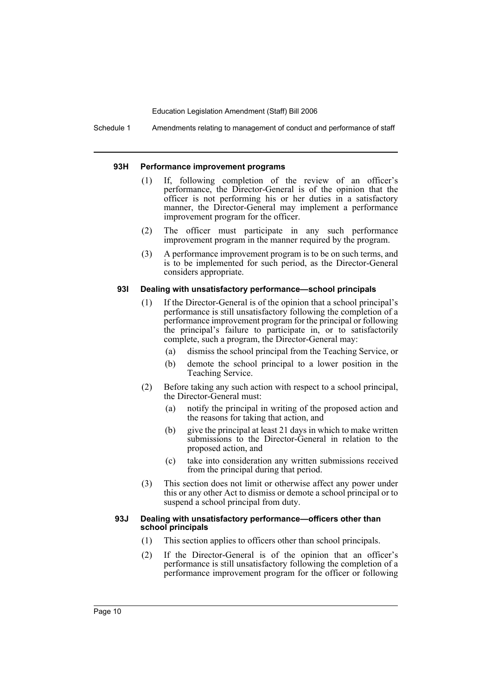Schedule 1 Amendments relating to management of conduct and performance of staff

#### **93H Performance improvement programs**

- (1) If, following completion of the review of an officer's performance, the Director-General is of the opinion that the officer is not performing his or her duties in a satisfactory manner, the Director-General may implement a performance improvement program for the officer.
- (2) The officer must participate in any such performance improvement program in the manner required by the program.
- (3) A performance improvement program is to be on such terms, and is to be implemented for such period, as the Director-General considers appropriate.

#### **93I Dealing with unsatisfactory performance—school principals**

- (1) If the Director-General is of the opinion that a school principal's performance is still unsatisfactory following the completion of a performance improvement program for the principal or following the principal's failure to participate in, or to satisfactorily complete, such a program, the Director-General may:
	- (a) dismiss the school principal from the Teaching Service, or
	- (b) demote the school principal to a lower position in the Teaching Service.
- (2) Before taking any such action with respect to a school principal, the Director-General must:
	- (a) notify the principal in writing of the proposed action and the reasons for taking that action, and
	- (b) give the principal at least 21 days in which to make written submissions to the Director-General in relation to the proposed action, and
	- (c) take into consideration any written submissions received from the principal during that period.
- (3) This section does not limit or otherwise affect any power under this or any other Act to dismiss or demote a school principal or to suspend a school principal from duty.

#### **93J Dealing with unsatisfactory performance—officers other than school principals**

- (1) This section applies to officers other than school principals.
- (2) If the Director-General is of the opinion that an officer's performance is still unsatisfactory following the completion of a performance improvement program for the officer or following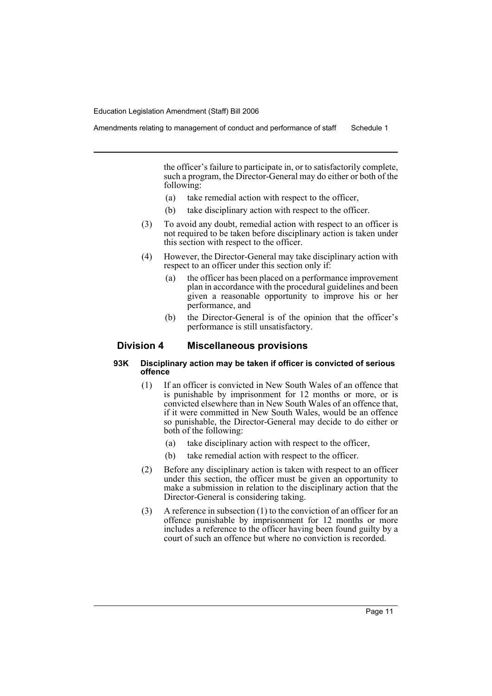Amendments relating to management of conduct and performance of staff Schedule 1

the officer's failure to participate in, or to satisfactorily complete, such a program, the Director-General may do either or both of the following:

- (a) take remedial action with respect to the officer,
- (b) take disciplinary action with respect to the officer.
- (3) To avoid any doubt, remedial action with respect to an officer is not required to be taken before disciplinary action is taken under this section with respect to the officer.
- (4) However, the Director-General may take disciplinary action with respect to an officer under this section only if:
	- (a) the officer has been placed on a performance improvement plan in accordance with the procedural guidelines and been given a reasonable opportunity to improve his or her performance, and
	- (b) the Director-General is of the opinion that the officer's performance is still unsatisfactory.

# **Division 4 Miscellaneous provisions**

# **93K Disciplinary action may be taken if officer is convicted of serious offence**

- (1) If an officer is convicted in New South Wales of an offence that is punishable by imprisonment for 12 months or more, or is convicted elsewhere than in New South Wales of an offence that, if it were committed in New South Wales, would be an offence so punishable, the Director-General may decide to do either or both of the following:
	- (a) take disciplinary action with respect to the officer,
	- (b) take remedial action with respect to the officer.
- (2) Before any disciplinary action is taken with respect to an officer under this section, the officer must be given an opportunity to make a submission in relation to the disciplinary action that the Director-General is considering taking.
- (3) A reference in subsection (1) to the conviction of an officer for an offence punishable by imprisonment for 12 months or more includes a reference to the officer having been found guilty by a court of such an offence but where no conviction is recorded.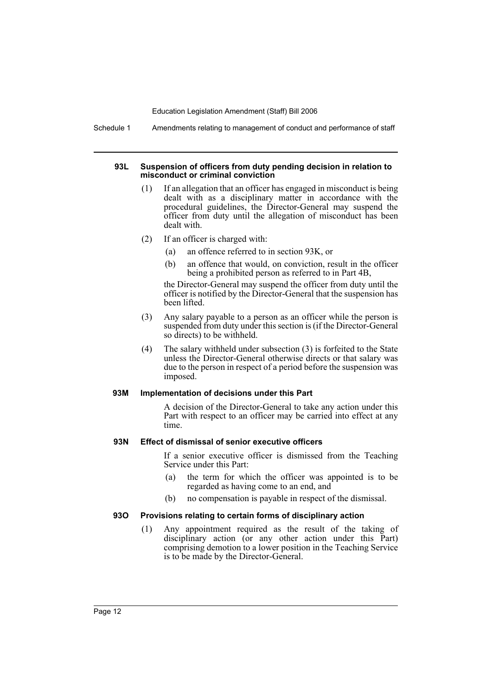Schedule 1 Amendments relating to management of conduct and performance of staff

#### **93L Suspension of officers from duty pending decision in relation to misconduct or criminal conviction**

- (1) If an allegation that an officer has engaged in misconduct is being dealt with as a disciplinary matter in accordance with the procedural guidelines, the Director-General may suspend the officer from duty until the allegation of misconduct has been dealt with.
- (2) If an officer is charged with:
	- (a) an offence referred to in section 93K, or
	- (b) an offence that would, on conviction, result in the officer being a prohibited person as referred to in Part 4B,

the Director-General may suspend the officer from duty until the officer is notified by the Director-General that the suspension has been lifted.

- (3) Any salary payable to a person as an officer while the person is suspended from duty under this section is (if the Director-General so directs) to be withheld.
- (4) The salary withheld under subsection (3) is forfeited to the State unless the Director-General otherwise directs or that salary was due to the person in respect of a period before the suspension was imposed.

#### **93M Implementation of decisions under this Part**

A decision of the Director-General to take any action under this Part with respect to an officer may be carried into effect at any time.

# **93N Effect of dismissal of senior executive officers**

If a senior executive officer is dismissed from the Teaching Service under this Part:

- (a) the term for which the officer was appointed is to be regarded as having come to an end, and
- (b) no compensation is payable in respect of the dismissal.

# **93O Provisions relating to certain forms of disciplinary action**

(1) Any appointment required as the result of the taking of disciplinary action (or any other action under this Part) comprising demotion to a lower position in the Teaching Service is to be made by the Director-General.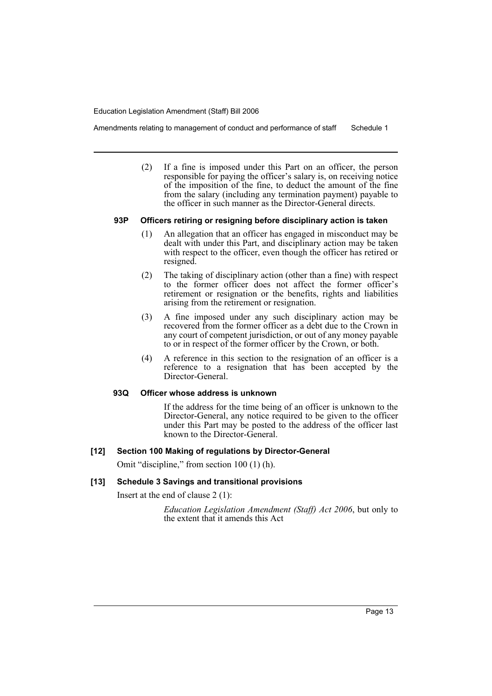Amendments relating to management of conduct and performance of staff Schedule 1

(2) If a fine is imposed under this Part on an officer, the person responsible for paying the officer's salary is, on receiving notice of the imposition of the fine, to deduct the amount of the fine from the salary (including any termination payment) payable to the officer in such manner as the Director-General directs.

# **93P Officers retiring or resigning before disciplinary action is taken**

- (1) An allegation that an officer has engaged in misconduct may be dealt with under this Part, and disciplinary action may be taken with respect to the officer, even though the officer has retired or resigned.
- (2) The taking of disciplinary action (other than a fine) with respect to the former officer does not affect the former officer's retirement or resignation or the benefits, rights and liabilities arising from the retirement or resignation.
- (3) A fine imposed under any such disciplinary action may be recovered from the former officer as a debt due to the Crown in any court of competent jurisdiction, or out of any money payable to or in respect of the former officer by the Crown, or both.
- (4) A reference in this section to the resignation of an officer is a reference to a resignation that has been accepted by the Director-General.

# **93Q Officer whose address is unknown**

If the address for the time being of an officer is unknown to the Director-General, any notice required to be given to the officer under this Part may be posted to the address of the officer last known to the Director-General.

# **[12] Section 100 Making of regulations by Director-General**

Omit "discipline," from section 100 (1) (h).

# **[13] Schedule 3 Savings and transitional provisions**

Insert at the end of clause 2 (1):

*Education Legislation Amendment (Staff) Act 2006*, but only to the extent that it amends this Act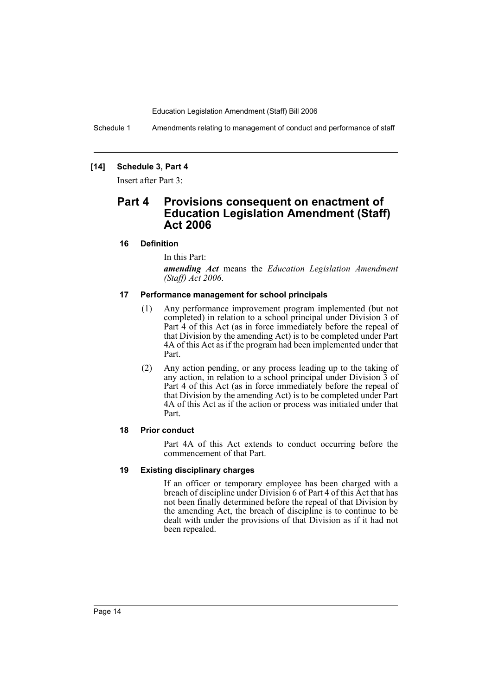Schedule 1 Amendments relating to management of conduct and performance of staff

# **[14] Schedule 3, Part 4**

Insert after Part 3:

# **Part 4 Provisions consequent on enactment of Education Legislation Amendment (Staff) Act 2006**

#### **16 Definition**

In this Part:

*amending Act* means the *Education Legislation Amendment (Staff) Act 2006*.

# **17 Performance management for school principals**

- (1) Any performance improvement program implemented (but not completed) in relation to a school principal under Division 3 of Part 4 of this Act (as in force immediately before the repeal of that Division by the amending Act) is to be completed under Part 4A of this Act as if the program had been implemented under that Part.
- (2) Any action pending, or any process leading up to the taking of any action, in relation to a school principal under Division 3 of Part 4 of this Act (as in force immediately before the repeal of that Division by the amending Act) is to be completed under Part 4A of this Act as if the action or process was initiated under that Part.

# **18 Prior conduct**

Part 4A of this Act extends to conduct occurring before the commencement of that Part.

#### **19 Existing disciplinary charges**

If an officer or temporary employee has been charged with a breach of discipline under Division 6 of Part 4 of this Act that has not been finally determined before the repeal of that Division by the amending Act, the breach of discipline is to continue to be dealt with under the provisions of that Division as if it had not been repealed.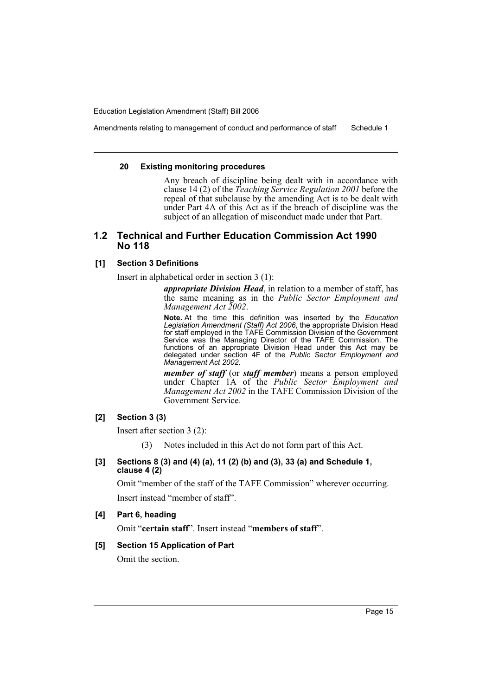Amendments relating to management of conduct and performance of staff Schedule 1

#### **20 Existing monitoring procedures**

Any breach of discipline being dealt with in accordance with clause 14 (2) of the *Teaching Service Regulation 2001* before the repeal of that subclause by the amending Act is to be dealt with under Part 4A of this Act as if the breach of discipline was the subject of an allegation of misconduct made under that Part.

# **1.2 Technical and Further Education Commission Act 1990 No 118**

# **[1] Section 3 Definitions**

Insert in alphabetical order in section 3 (1):

*appropriate Division Head*, in relation to a member of staff, has the same meaning as in the *Public Sector Employment and Management Act 2002*.

**Note.** At the time this definition was inserted by the *Education Legislation Amendment (Staff) Act 2006*, the appropriate Division Head for staff employed in the TAFE Commission Division of the Government Service was the Managing Director of the TAFE Commission. The functions of an appropriate Division Head under this Act may be delegated under section 4F of the *Public Sector Employment and Management Act 2002*.

*member of staff* (or *staff member*) means a person employed under Chapter 1A of the *Public Sector Employment and Management Act 2002* in the TAFE Commission Division of the Government Service.

# **[2] Section 3 (3)**

Insert after section 3 (2):

(3) Notes included in this Act do not form part of this Act.

# **[3] Sections 8 (3) and (4) (a), 11 (2) (b) and (3), 33 (a) and Schedule 1, clause 4 (2)**

Omit "member of the staff of the TAFE Commission" wherever occurring. Insert instead "member of staff".

# **[4] Part 6, heading**

Omit "**certain staff**". Insert instead "**members of staff**".

# **[5] Section 15 Application of Part**

Omit the section.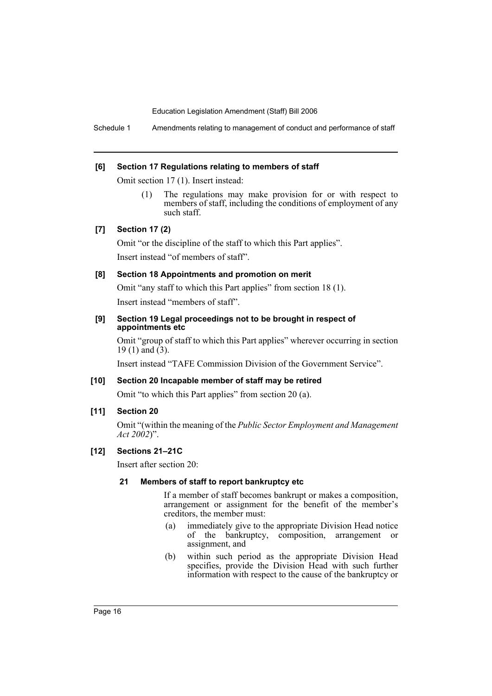Schedule 1 Amendments relating to management of conduct and performance of staff

#### **[6] Section 17 Regulations relating to members of staff**

Omit section 17 (1). Insert instead:

(1) The regulations may make provision for or with respect to members of staff, including the conditions of employment of any such staff.

# **[7] Section 17 (2)**

Omit "or the discipline of the staff to which this Part applies". Insert instead "of members of staff".

# **[8] Section 18 Appointments and promotion on merit**

Omit "any staff to which this Part applies" from section 18 (1).

Insert instead "members of staff".

#### **[9] Section 19 Legal proceedings not to be brought in respect of appointments etc**

Omit "group of staff to which this Part applies" wherever occurring in section 19 (1) and  $(3)$ .

Insert instead "TAFE Commission Division of the Government Service".

# **[10] Section 20 Incapable member of staff may be retired**

Omit "to which this Part applies" from section 20 (a).

# **[11] Section 20**

Omit "(within the meaning of the *Public Sector Employment and Management Act 2002*)".

#### **[12] Sections 21–21C**

Insert after section 20:

#### **21 Members of staff to report bankruptcy etc**

If a member of staff becomes bankrupt or makes a composition, arrangement or assignment for the benefit of the member's creditors, the member must:

- (a) immediately give to the appropriate Division Head notice of the bankruptcy, composition, arrangement or assignment, and
- (b) within such period as the appropriate Division Head specifies, provide the Division Head with such further information with respect to the cause of the bankruptcy or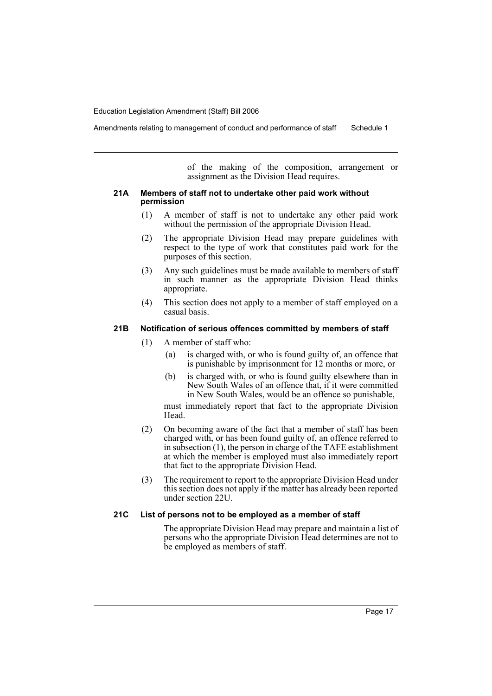Amendments relating to management of conduct and performance of staff Schedule 1

of the making of the composition, arrangement or assignment as the Division Head requires.

#### **21A Members of staff not to undertake other paid work without permission**

- (1) A member of staff is not to undertake any other paid work without the permission of the appropriate Division Head.
- (2) The appropriate Division Head may prepare guidelines with respect to the type of work that constitutes paid work for the purposes of this section.
- (3) Any such guidelines must be made available to members of staff in such manner as the appropriate Division Head thinks appropriate.
- (4) This section does not apply to a member of staff employed on a casual basis.

# **21B Notification of serious offences committed by members of staff**

- (1) A member of staff who:
	- (a) is charged with, or who is found guilty of, an offence that is punishable by imprisonment for 12 months or more, or
	- (b) is charged with, or who is found guilty elsewhere than in New South Wales of an offence that, if it were committed in New South Wales, would be an offence so punishable,

must immediately report that fact to the appropriate Division Head.

- (2) On becoming aware of the fact that a member of staff has been charged with, or has been found guilty of, an offence referred to in subsection (1), the person in charge of the TAFE establishment at which the member is employed must also immediately report that fact to the appropriate Division Head.
- (3) The requirement to report to the appropriate Division Head under this section does not apply if the matter has already been reported under section 22U.

#### **21C List of persons not to be employed as a member of staff**

The appropriate Division Head may prepare and maintain a list of persons who the appropriate Division Head determines are not to be employed as members of staff.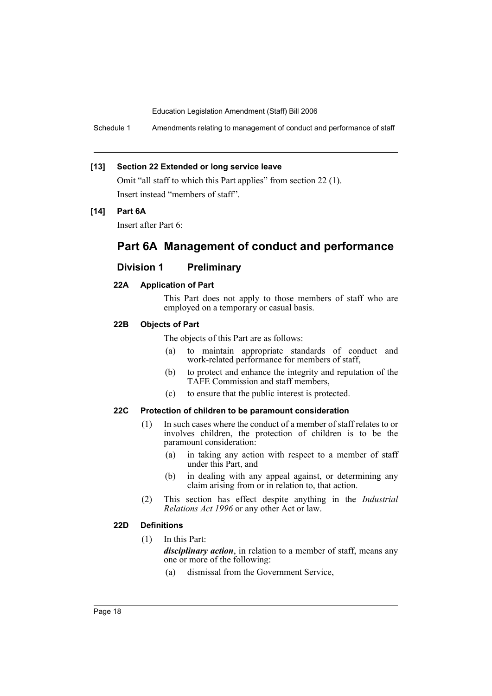Schedule 1 Amendments relating to management of conduct and performance of staff

#### **[13] Section 22 Extended or long service leave**

Omit "all staff to which this Part applies" from section 22 (1). Insert instead "members of staff".

## **[14] Part 6A**

Insert after Part 6:

# **Part 6A Management of conduct and performance**

# **Division 1 Preliminary**

# **22A Application of Part**

This Part does not apply to those members of staff who are employed on a temporary or casual basis.

# **22B Objects of Part**

The objects of this Part are as follows:

- (a) to maintain appropriate standards of conduct and work-related performance for members of staff,
- (b) to protect and enhance the integrity and reputation of the TAFE Commission and staff members,
- (c) to ensure that the public interest is protected.

#### **22C Protection of children to be paramount consideration**

- (1) In such cases where the conduct of a member of staff relates to or involves children, the protection of children is to be the paramount consideration:
	- (a) in taking any action with respect to a member of staff under this Part, and
	- (b) in dealing with any appeal against, or determining any claim arising from or in relation to, that action.
- (2) This section has effect despite anything in the *Industrial Relations Act 1996* or any other Act or law.

# **22D Definitions**

(1) In this Part:

*disciplinary action*, in relation to a member of staff, means any one or more of the following:

(a) dismissal from the Government Service,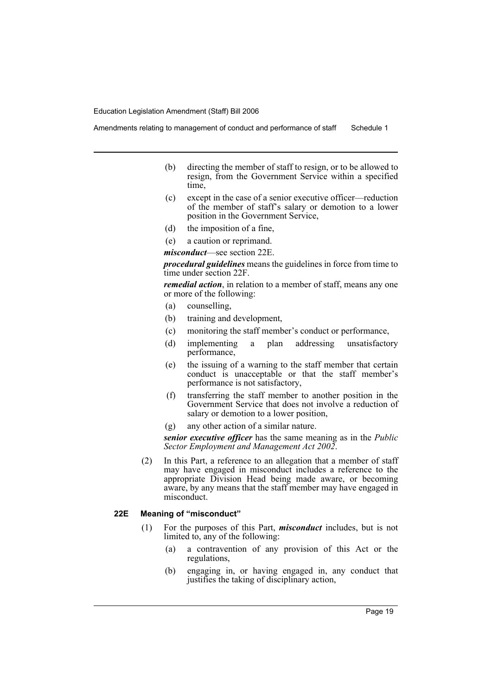Amendments relating to management of conduct and performance of staff Schedule 1

- (b) directing the member of staff to resign, or to be allowed to resign, from the Government Service within a specified time,
- (c) except in the case of a senior executive officer—reduction of the member of staff's salary or demotion to a lower position in the Government Service,
- (d) the imposition of a fine,
- (e) a caution or reprimand.

*misconduct*—see section 22E.

*procedural guidelines* means the guidelines in force from time to time under section 22F.

*remedial action*, in relation to a member of staff, means any one or more of the following:

- (a) counselling,
- (b) training and development,
- (c) monitoring the staff member's conduct or performance,
- (d) implementing a plan addressing unsatisfactory performance,
- (e) the issuing of a warning to the staff member that certain conduct is unacceptable or that the staff member's performance is not satisfactory,
- (f) transferring the staff member to another position in the Government Service that does not involve a reduction of salary or demotion to a lower position,
- (g) any other action of a similar nature.

*senior executive officer* has the same meaning as in the *Public Sector Employment and Management Act 2002*.

(2) In this Part, a reference to an allegation that a member of staff may have engaged in misconduct includes a reference to the appropriate Division Head being made aware, or becoming aware, by any means that the staff member may have engaged in misconduct.

# **22E Meaning of "misconduct"**

- (1) For the purposes of this Part, *misconduct* includes, but is not limited to, any of the following:
	- (a) a contravention of any provision of this Act or the regulations,
	- (b) engaging in, or having engaged in, any conduct that justifies the taking of disciplinary action,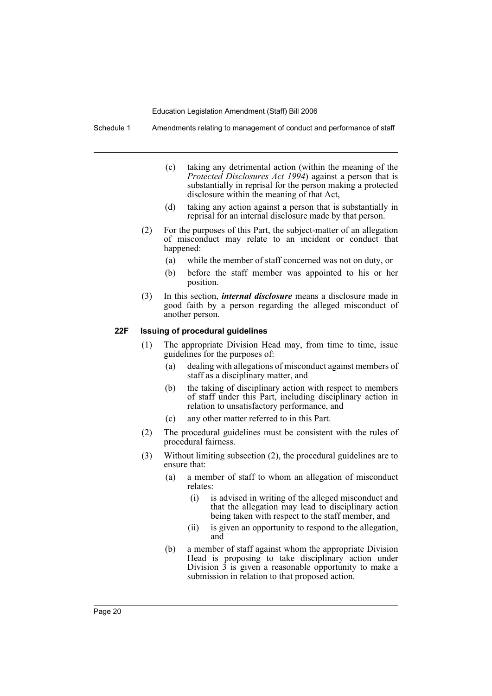Schedule 1 Amendments relating to management of conduct and performance of staff

- (c) taking any detrimental action (within the meaning of the *Protected Disclosures Act 1994*) against a person that is substantially in reprisal for the person making a protected disclosure within the meaning of that Act,
- (d) taking any action against a person that is substantially in reprisal for an internal disclosure made by that person.
- (2) For the purposes of this Part, the subject-matter of an allegation of misconduct may relate to an incident or conduct that happened:
	- (a) while the member of staff concerned was not on duty, or
	- (b) before the staff member was appointed to his or her position.
- (3) In this section, *internal disclosure* means a disclosure made in good faith by a person regarding the alleged misconduct of another person.

# **22F Issuing of procedural guidelines**

- (1) The appropriate Division Head may, from time to time, issue guidelines for the purposes of:
	- (a) dealing with allegations of misconduct against members of staff as a disciplinary matter, and
	- (b) the taking of disciplinary action with respect to members of staff under this Part, including disciplinary action in relation to unsatisfactory performance, and
	- (c) any other matter referred to in this Part.
- (2) The procedural guidelines must be consistent with the rules of procedural fairness.
- (3) Without limiting subsection (2), the procedural guidelines are to ensure that:
	- (a) a member of staff to whom an allegation of misconduct relates:
		- (i) is advised in writing of the alleged misconduct and that the allegation may lead to disciplinary action being taken with respect to the staff member, and
		- (ii) is given an opportunity to respond to the allegation, and
	- (b) a member of staff against whom the appropriate Division Head is proposing to take disciplinary action under Division  $\hat{3}$  is given a reasonable opportunity to make a submission in relation to that proposed action.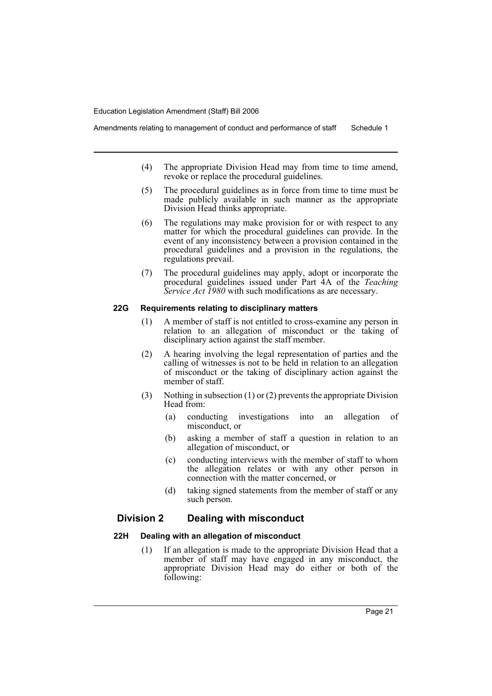- (4) The appropriate Division Head may from time to time amend, revoke or replace the procedural guidelines.
- (5) The procedural guidelines as in force from time to time must be made publicly available in such manner as the appropriate Division Head thinks appropriate.
- (6) The regulations may make provision for or with respect to any matter for which the procedural guidelines can provide. In the event of any inconsistency between a provision contained in the procedural guidelines and a provision in the regulations, the regulations prevail.
- (7) The procedural guidelines may apply, adopt or incorporate the procedural guidelines issued under Part 4A of the *Teaching Service Act 1980* with such modifications as are necessary.

#### **22G Requirements relating to disciplinary matters**

- (1) A member of staff is not entitled to cross-examine any person in relation to an allegation of misconduct or the taking of disciplinary action against the staff member.
- (2) A hearing involving the legal representation of parties and the calling of witnesses is not to be held in relation to an allegation of misconduct or the taking of disciplinary action against the member of staff.
- (3) Nothing in subsection (1) or (2) prevents the appropriate Division Head from:
	- (a) conducting investigations into an allegation of misconduct, or
	- (b) asking a member of staff a question in relation to an allegation of misconduct, or
	- (c) conducting interviews with the member of staff to whom the allegation relates or with any other person in connection with the matter concerned, or
	- (d) taking signed statements from the member of staff or any such person.

# **Division 2 Dealing with misconduct**

#### **22H Dealing with an allegation of misconduct**

(1) If an allegation is made to the appropriate Division Head that a member of staff may have engaged in any misconduct, the appropriate Division Head may do either or both of the following: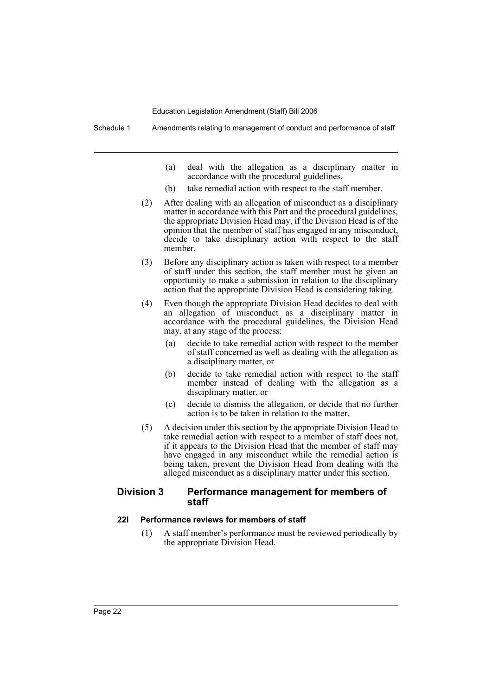- (a) deal with the allegation as a disciplinary matter in accordance with the procedural guidelines,
- (b) take remedial action with respect to the staff member.
- (2) After dealing with an allegation of misconduct as a disciplinary matter in accordance with this Part and the procedural guidelines, the appropriate Division Head may, if the Division Head is of the opinion that the member of staff has engaged in any misconduct, decide to take disciplinary action with respect to the staff member.
- (3) Before any disciplinary action is taken with respect to a member of staff under this section, the staff member must be given an opportunity to make a submission in relation to the disciplinary action that the appropriate Division Head is considering taking.
- (4) Even though the appropriate Division Head decides to deal with an allegation of misconduct as a disciplinary matter in accordance with the procedural guidelines, the Division Head may, at any stage of the process:
	- (a) decide to take remedial action with respect to the member of staff concerned as well as dealing with the allegation as a disciplinary matter, or
	- (b) decide to take remedial action with respect to the staff member instead of dealing with the allegation as a disciplinary matter, or
	- (c) decide to dismiss the allegation, or decide that no further action is to be taken in relation to the matter.
- (5) A decision under this section by the appropriate Division Head to take remedial action with respect to a member of staff does not, if it appears to the Division Head that the member of staff may have engaged in any misconduct while the remedial action is being taken, prevent the Division Head from dealing with the alleged misconduct as a disciplinary matter under this section.

# **Division 3 Performance management for members of staff**

# **22I Performance reviews for members of staff**

(1) A staff member's performance must be reviewed periodically by the appropriate Division Head.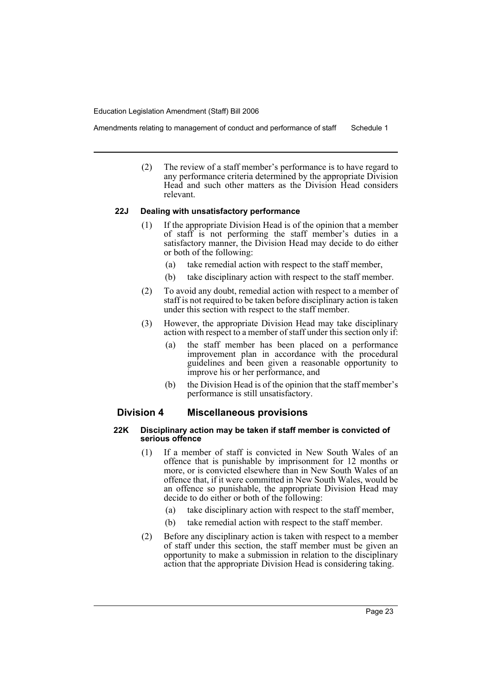Amendments relating to management of conduct and performance of staff Schedule 1

(2) The review of a staff member's performance is to have regard to any performance criteria determined by the appropriate Division Head and such other matters as the Division Head considers relevant.

#### **22J Dealing with unsatisfactory performance**

- (1) If the appropriate Division Head is of the opinion that a member of staff is not performing the staff member's duties in a satisfactory manner, the Division Head may decide to do either or both of the following:
	- (a) take remedial action with respect to the staff member,
	- (b) take disciplinary action with respect to the staff member.
- (2) To avoid any doubt, remedial action with respect to a member of staff is not required to be taken before disciplinary action is taken under this section with respect to the staff member.
- (3) However, the appropriate Division Head may take disciplinary action with respect to a member of staff under this section only if:
	- (a) the staff member has been placed on a performance improvement plan in accordance with the procedural guidelines and been given a reasonable opportunity to improve his or her performance, and
	- (b) the Division Head is of the opinion that the staff member's performance is still unsatisfactory.

# **Division 4 Miscellaneous provisions**

#### **22K Disciplinary action may be taken if staff member is convicted of serious offence**

- (1) If a member of staff is convicted in New South Wales of an offence that is punishable by imprisonment for 12 months or more, or is convicted elsewhere than in New South Wales of an offence that, if it were committed in New South Wales, would be an offence so punishable, the appropriate Division Head may decide to do either or both of the following:
	- (a) take disciplinary action with respect to the staff member,
	- (b) take remedial action with respect to the staff member.
- (2) Before any disciplinary action is taken with respect to a member of staff under this section, the staff member must be given an opportunity to make a submission in relation to the disciplinary action that the appropriate Division Head is considering taking.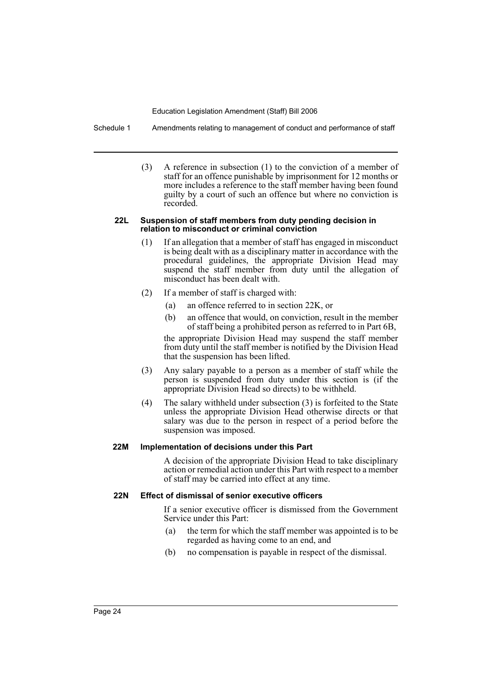Schedule 1 Amendments relating to management of conduct and performance of staff

(3) A reference in subsection (1) to the conviction of a member of staff for an offence punishable by imprisonment for 12 months or more includes a reference to the staff member having been found guilty by a court of such an offence but where no conviction is recorded.

#### **22L Suspension of staff members from duty pending decision in relation to misconduct or criminal conviction**

- (1) If an allegation that a member of staff has engaged in misconduct is being dealt with as a disciplinary matter in accordance with the procedural guidelines, the appropriate Division Head may suspend the staff member from duty until the allegation of misconduct has been dealt with.
- (2) If a member of staff is charged with:
	- (a) an offence referred to in section 22K, or
	- (b) an offence that would, on conviction, result in the member of staff being a prohibited person as referred to in Part 6B,

the appropriate Division Head may suspend the staff member from duty until the staff member is notified by the Division Head that the suspension has been lifted.

- (3) Any salary payable to a person as a member of staff while the person is suspended from duty under this section is (if the appropriate Division Head so directs) to be withheld.
- (4) The salary withheld under subsection (3) is forfeited to the State unless the appropriate Division Head otherwise directs or that salary was due to the person in respect of a period before the suspension was imposed.

# **22M Implementation of decisions under this Part**

A decision of the appropriate Division Head to take disciplinary action or remedial action under this Part with respect to a member of staff may be carried into effect at any time.

# **22N Effect of dismissal of senior executive officers**

If a senior executive officer is dismissed from the Government Service under this Part:

- (a) the term for which the staff member was appointed is to be regarded as having come to an end, and
- (b) no compensation is payable in respect of the dismissal.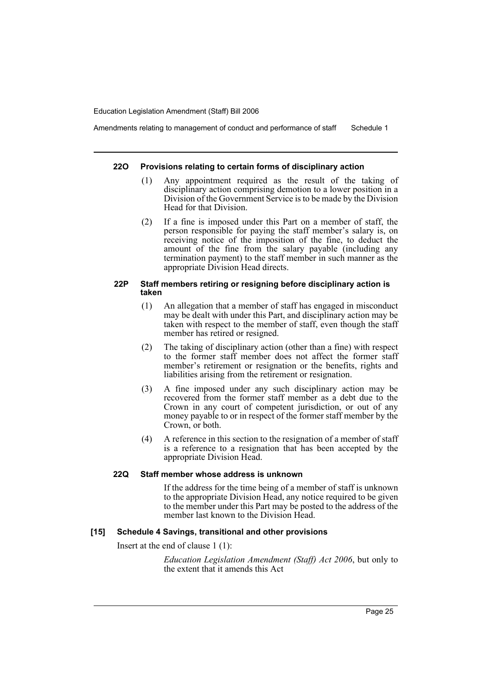Amendments relating to management of conduct and performance of staff Schedule 1

#### **22O Provisions relating to certain forms of disciplinary action**

- (1) Any appointment required as the result of the taking of disciplinary action comprising demotion to a lower position in a Division of the Government Service is to be made by the Division Head for that Division.
- (2) If a fine is imposed under this Part on a member of staff, the person responsible for paying the staff member's salary is, on receiving notice of the imposition of the fine, to deduct the amount of the fine from the salary payable (including any termination payment) to the staff member in such manner as the appropriate Division Head directs.

#### **22P Staff members retiring or resigning before disciplinary action is taken**

- (1) An allegation that a member of staff has engaged in misconduct may be dealt with under this Part, and disciplinary action may be taken with respect to the member of staff, even though the staff member has retired or resigned.
- (2) The taking of disciplinary action (other than a fine) with respect to the former staff member does not affect the former staff member's retirement or resignation or the benefits, rights and liabilities arising from the retirement or resignation.
- (3) A fine imposed under any such disciplinary action may be recovered from the former staff member as a debt due to the Crown in any court of competent jurisdiction, or out of any money payable to or in respect of the former staff member by the Crown, or both.
- (4) A reference in this section to the resignation of a member of staff is a reference to a resignation that has been accepted by the appropriate Division Head.

# **22Q Staff member whose address is unknown**

If the address for the time being of a member of staff is unknown to the appropriate Division Head, any notice required to be given to the member under this Part may be posted to the address of the member last known to the Division Head.

#### **[15] Schedule 4 Savings, transitional and other provisions**

Insert at the end of clause 1 (1):

*Education Legislation Amendment (Staff) Act 2006*, but only to the extent that it amends this Act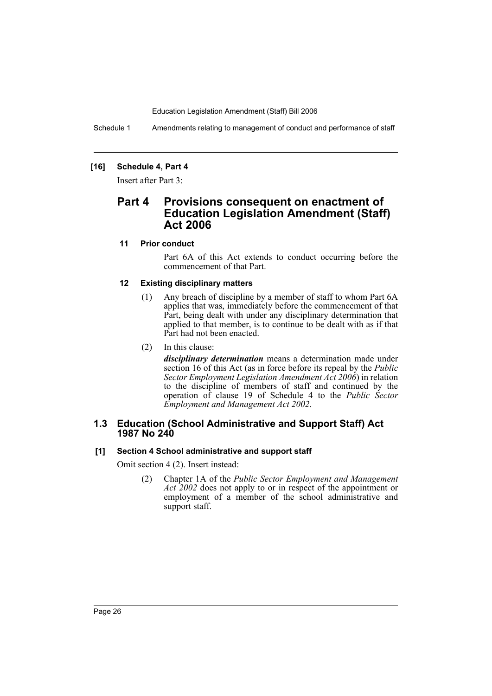Schedule 1 Amendments relating to management of conduct and performance of staff

# **[16] Schedule 4, Part 4**

Insert after Part 3:

# **Part 4 Provisions consequent on enactment of Education Legislation Amendment (Staff) Act 2006**

# **11 Prior conduct**

Part 6A of this Act extends to conduct occurring before the commencement of that Part.

# **12 Existing disciplinary matters**

- (1) Any breach of discipline by a member of staff to whom Part 6A applies that was, immediately before the commencement of that Part, being dealt with under any disciplinary determination that applied to that member, is to continue to be dealt with as if that Part had not been enacted.
- (2) In this clause:

*disciplinary determination* means a determination made under section 16 of this Act (as in force before its repeal by the *Public Sector Employment Legislation Amendment Act 2006*) in relation to the discipline of members of staff and continued by the operation of clause 19 of Schedule 4 to the *Public Sector Employment and Management Act 2002*.

# **1.3 Education (School Administrative and Support Staff) Act 1987 No 240**

# **[1] Section 4 School administrative and support staff**

Omit section 4 (2). Insert instead:

(2) Chapter 1A of the *Public Sector Employment and Management Act 2002* does not apply to or in respect of the appointment or employment of a member of the school administrative and support staff.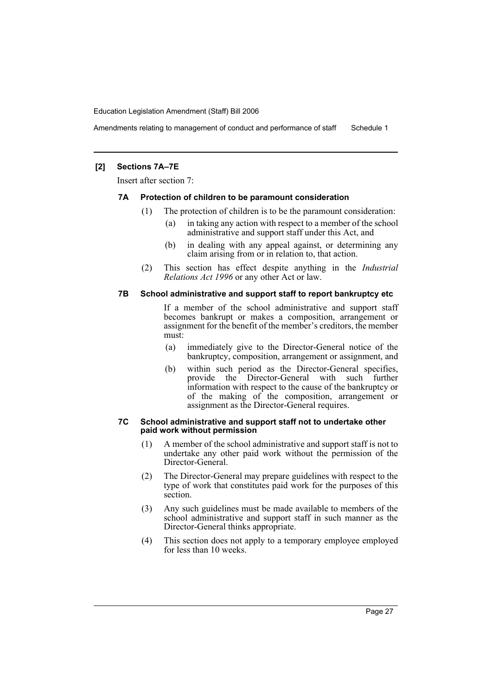Amendments relating to management of conduct and performance of staff Schedule 1

# **[2] Sections 7A–7E**

Insert after section 7:

#### **7A Protection of children to be paramount consideration**

- (1) The protection of children is to be the paramount consideration:
	- (a) in taking any action with respect to a member of the school administrative and support staff under this Act, and
	- (b) in dealing with any appeal against, or determining any claim arising from or in relation to, that action.
- (2) This section has effect despite anything in the *Industrial Relations Act 1996* or any other Act or law.

# **7B School administrative and support staff to report bankruptcy etc**

If a member of the school administrative and support staff becomes bankrupt or makes a composition, arrangement or assignment for the benefit of the member's creditors, the member must:

- (a) immediately give to the Director-General notice of the bankruptcy, composition, arrangement or assignment, and
- (b) within such period as the Director-General specifies, provide the Director-General with such further information with respect to the cause of the bankruptcy or of the making of the composition, arrangement or assignment as the Director-General requires.

#### **7C School administrative and support staff not to undertake other paid work without permission**

- (1) A member of the school administrative and support staff is not to undertake any other paid work without the permission of the Director-General.
- (2) The Director-General may prepare guidelines with respect to the type of work that constitutes paid work for the purposes of this section.
- (3) Any such guidelines must be made available to members of the school administrative and support staff in such manner as the Director-General thinks appropriate.
- (4) This section does not apply to a temporary employee employed for less than 10 weeks.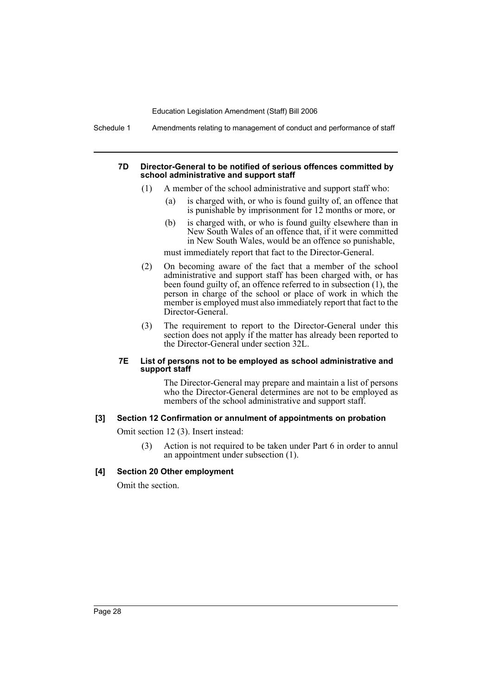Schedule 1 Amendments relating to management of conduct and performance of staff

#### **7D Director-General to be notified of serious offences committed by school administrative and support staff**

- (1) A member of the school administrative and support staff who:
	- (a) is charged with, or who is found guilty of, an offence that is punishable by imprisonment for 12 months or more, or
	- (b) is charged with, or who is found guilty elsewhere than in New South Wales of an offence that, if it were committed in New South Wales, would be an offence so punishable,

must immediately report that fact to the Director-General.

- (2) On becoming aware of the fact that a member of the school administrative and support staff has been charged with, or has been found guilty of, an offence referred to in subsection (1), the person in charge of the school or place of work in which the member is employed must also immediately report that fact to the Director-General.
- (3) The requirement to report to the Director-General under this section does not apply if the matter has already been reported to the Director-General under section 32L.

#### **7E List of persons not to be employed as school administrative and support staff**

The Director-General may prepare and maintain a list of persons who the Director-General determines are not to be employed as members of the school administrative and support staff.

#### **[3] Section 12 Confirmation or annulment of appointments on probation**

Omit section 12 (3). Insert instead:

(3) Action is not required to be taken under Part 6 in order to annul an appointment under subsection (1).

# **[4] Section 20 Other employment**

Omit the section.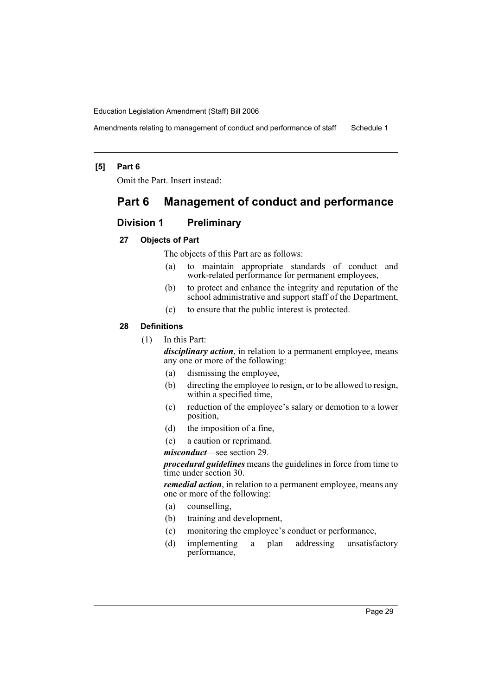Amendments relating to management of conduct and performance of staff Schedule 1

#### **[5] Part 6**

Omit the Part. Insert instead:

# **Part 6 Management of conduct and performance**

# **Division 1 Preliminary**

# **27 Objects of Part**

The objects of this Part are as follows:

- (a) to maintain appropriate standards of conduct and work-related performance for permanent employees,
- (b) to protect and enhance the integrity and reputation of the school administrative and support staff of the Department,
- (c) to ensure that the public interest is protected.

#### **28 Definitions**

(1) In this Part:

*disciplinary action*, in relation to a permanent employee, means any one or more of the following:

- (a) dismissing the employee,
- (b) directing the employee to resign, or to be allowed to resign, within a specified time,
- (c) reduction of the employee's salary or demotion to a lower position,
- (d) the imposition of a fine,
- (e) a caution or reprimand.

*misconduct*—see section 29.

*procedural guidelines* means the guidelines in force from time to time under section 30.

*remedial action*, in relation to a permanent employee, means any one or more of the following:

- (a) counselling,
- (b) training and development,
- (c) monitoring the employee's conduct or performance,
- (d) implementing a plan addressing unsatisfactory performance,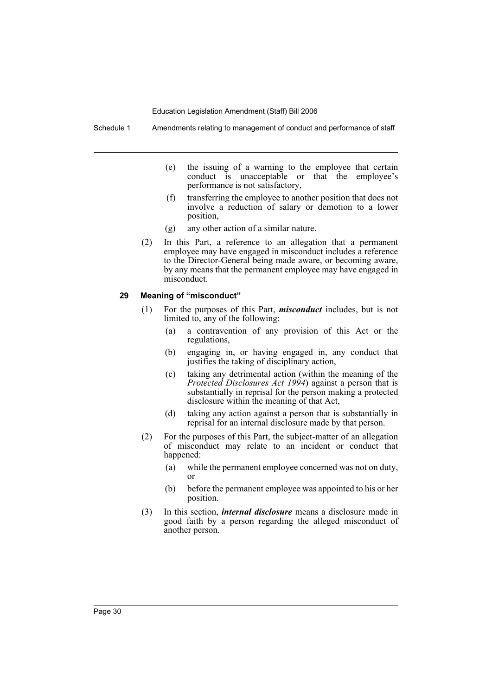Schedule 1 Amendments relating to management of conduct and performance of staff

- (e) the issuing of a warning to the employee that certain conduct is unacceptable or that the employee's performance is not satisfactory,
- (f) transferring the employee to another position that does not involve a reduction of salary or demotion to a lower position,
- (g) any other action of a similar nature.
- (2) In this Part, a reference to an allegation that a permanent employee may have engaged in misconduct includes a reference to the Director-General being made aware, or becoming aware, by any means that the permanent employee may have engaged in misconduct.

# **29 Meaning of "misconduct"**

- (1) For the purposes of this Part, *misconduct* includes, but is not limited to, any of the following:
	- (a) a contravention of any provision of this Act or the regulations,
	- (b) engaging in, or having engaged in, any conduct that justifies the taking of disciplinary action,
	- (c) taking any detrimental action (within the meaning of the *Protected Disclosures Act 1994*) against a person that is substantially in reprisal for the person making a protected disclosure within the meaning of that Act,
	- (d) taking any action against a person that is substantially in reprisal for an internal disclosure made by that person.
- (2) For the purposes of this Part, the subject-matter of an allegation of misconduct may relate to an incident or conduct that happened:
	- (a) while the permanent employee concerned was not on duty, or
	- (b) before the permanent employee was appointed to his or her position.
- (3) In this section, *internal disclosure* means a disclosure made in good faith by a person regarding the alleged misconduct of another person.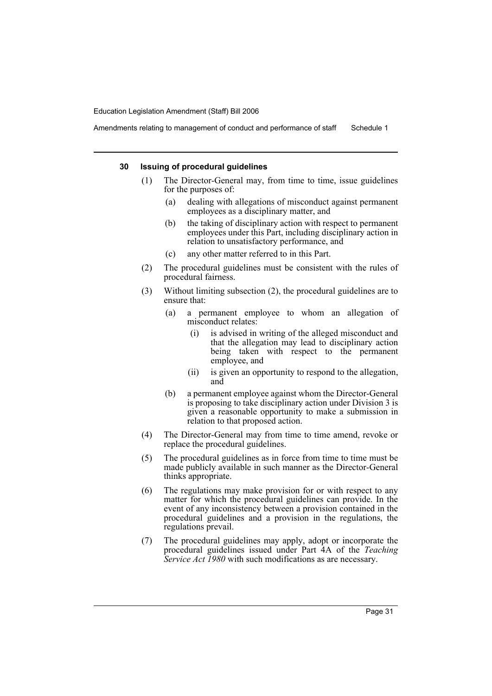Amendments relating to management of conduct and performance of staff Schedule 1

#### **30 Issuing of procedural guidelines**

- (1) The Director-General may, from time to time, issue guidelines for the purposes of:
	- (a) dealing with allegations of misconduct against permanent employees as a disciplinary matter, and
	- (b) the taking of disciplinary action with respect to permanent employees under this Part, including disciplinary action in relation to unsatisfactory performance, and
	- (c) any other matter referred to in this Part.
- (2) The procedural guidelines must be consistent with the rules of procedural fairness.
- (3) Without limiting subsection (2), the procedural guidelines are to ensure that:
	- (a) a permanent employee to whom an allegation of misconduct relates:
		- (i) is advised in writing of the alleged misconduct and that the allegation may lead to disciplinary action being taken with respect to the permanent employee, and
		- (ii) is given an opportunity to respond to the allegation, and
	- (b) a permanent employee against whom the Director-General is proposing to take disciplinary action under Division 3 is given a reasonable opportunity to make a submission in relation to that proposed action.
- (4) The Director-General may from time to time amend, revoke or replace the procedural guidelines.
- (5) The procedural guidelines as in force from time to time must be made publicly available in such manner as the Director-General thinks appropriate.
- (6) The regulations may make provision for or with respect to any matter for which the procedural guidelines can provide. In the event of any inconsistency between a provision contained in the procedural guidelines and a provision in the regulations, the regulations prevail.
- (7) The procedural guidelines may apply, adopt or incorporate the procedural guidelines issued under Part 4A of the *Teaching Service Act 1980* with such modifications as are necessary.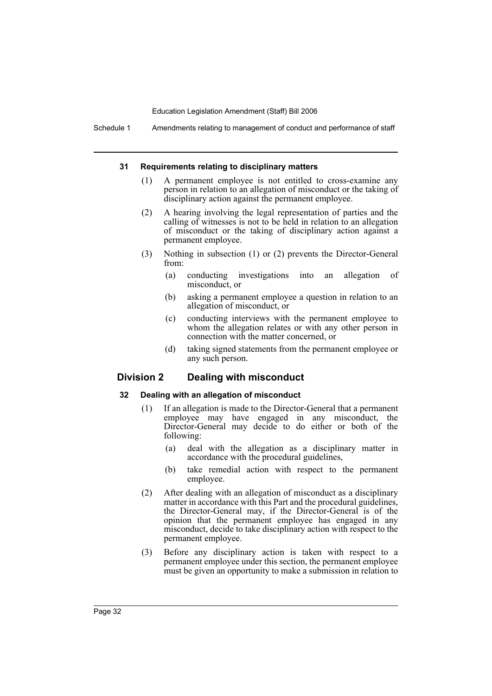Schedule 1 Amendments relating to management of conduct and performance of staff

#### **31 Requirements relating to disciplinary matters**

- (1) A permanent employee is not entitled to cross-examine any person in relation to an allegation of misconduct or the taking of disciplinary action against the permanent employee.
- (2) A hearing involving the legal representation of parties and the calling of witnesses is not to be held in relation to an allegation of misconduct or the taking of disciplinary action against a permanent employee.
- (3) Nothing in subsection (1) or (2) prevents the Director-General from:
	- (a) conducting investigations into an allegation of misconduct, or
	- (b) asking a permanent employee a question in relation to an allegation of misconduct, or
	- (c) conducting interviews with the permanent employee to whom the allegation relates or with any other person in connection with the matter concerned, or
	- (d) taking signed statements from the permanent employee or any such person.

# **Division 2 Dealing with misconduct**

#### **32 Dealing with an allegation of misconduct**

- (1) If an allegation is made to the Director-General that a permanent employee may have engaged in any misconduct, the Director-General may decide to do either or both of the following:
	- (a) deal with the allegation as a disciplinary matter in accordance with the procedural guidelines,
	- (b) take remedial action with respect to the permanent employee.
- (2) After dealing with an allegation of misconduct as a disciplinary matter in accordance with this Part and the procedural guidelines, the Director-General may, if the Director-General is of the opinion that the permanent employee has engaged in any misconduct, decide to take disciplinary action with respect to the permanent employee.
- (3) Before any disciplinary action is taken with respect to a permanent employee under this section, the permanent employee must be given an opportunity to make a submission in relation to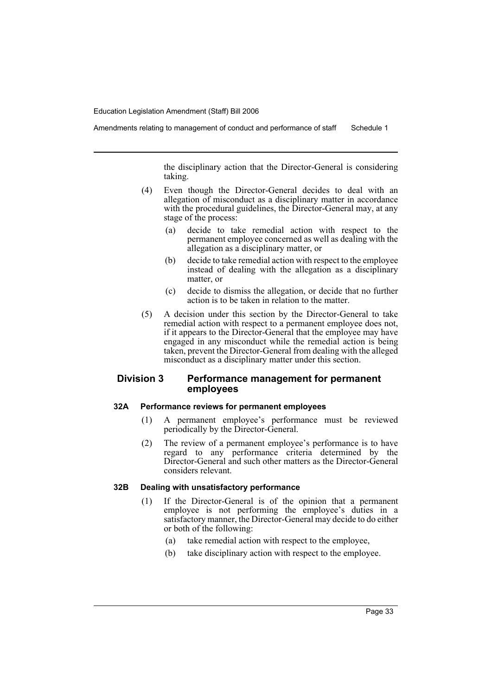Amendments relating to management of conduct and performance of staff Schedule 1

the disciplinary action that the Director-General is considering taking.

- (4) Even though the Director-General decides to deal with an allegation of misconduct as a disciplinary matter in accordance with the procedural guidelines, the Director-General may, at any stage of the process:
	- (a) decide to take remedial action with respect to the permanent employee concerned as well as dealing with the allegation as a disciplinary matter, or
	- (b) decide to take remedial action with respect to the employee instead of dealing with the allegation as a disciplinary matter, or
	- (c) decide to dismiss the allegation, or decide that no further action is to be taken in relation to the matter.
- (5) A decision under this section by the Director-General to take remedial action with respect to a permanent employee does not, if it appears to the Director-General that the employee may have engaged in any misconduct while the remedial action is being taken, prevent the Director-General from dealing with the alleged misconduct as a disciplinary matter under this section.

# **Division 3 Performance management for permanent employees**

#### **32A Performance reviews for permanent employees**

- (1) A permanent employee's performance must be reviewed periodically by the Director-General.
- (2) The review of a permanent employee's performance is to have regard to any performance criteria determined by the Director-General and such other matters as the Director-General considers relevant.

# **32B Dealing with unsatisfactory performance**

- (1) If the Director-General is of the opinion that a permanent employee is not performing the employee's duties in a satisfactory manner, the Director-General may decide to do either or both of the following:
	- (a) take remedial action with respect to the employee,
	- (b) take disciplinary action with respect to the employee.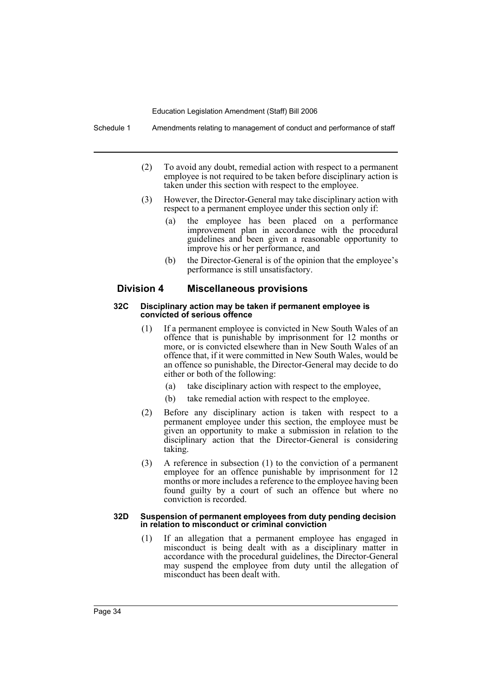Schedule 1 Amendments relating to management of conduct and performance of staff

- (2) To avoid any doubt, remedial action with respect to a permanent employee is not required to be taken before disciplinary action is taken under this section with respect to the employee.
- (3) However, the Director-General may take disciplinary action with respect to a permanent employee under this section only if:
	- (a) the employee has been placed on a performance improvement plan in accordance with the procedural guidelines and been given a reasonable opportunity to improve his or her performance, and
	- (b) the Director-General is of the opinion that the employee's performance is still unsatisfactory.

# **Division 4 Miscellaneous provisions**

#### **32C Disciplinary action may be taken if permanent employee is convicted of serious offence**

- (1) If a permanent employee is convicted in New South Wales of an offence that is punishable by imprisonment for 12 months or more, or is convicted elsewhere than in New South Wales of an offence that, if it were committed in New South Wales, would be an offence so punishable, the Director-General may decide to do either or both of the following:
	- (a) take disciplinary action with respect to the employee,
	- (b) take remedial action with respect to the employee.
- (2) Before any disciplinary action is taken with respect to a permanent employee under this section, the employee must be given an opportunity to make a submission in relation to the disciplinary action that the Director-General is considering taking.
- (3) A reference in subsection (1) to the conviction of a permanent employee for an offence punishable by imprisonment for 12 months or more includes a reference to the employee having been found guilty by a court of such an offence but where no conviction is recorded.

#### **32D Suspension of permanent employees from duty pending decision in relation to misconduct or criminal conviction**

(1) If an allegation that a permanent employee has engaged in misconduct is being dealt with as a disciplinary matter in accordance with the procedural guidelines, the Director-General may suspend the employee from duty until the allegation of misconduct has been dealt with.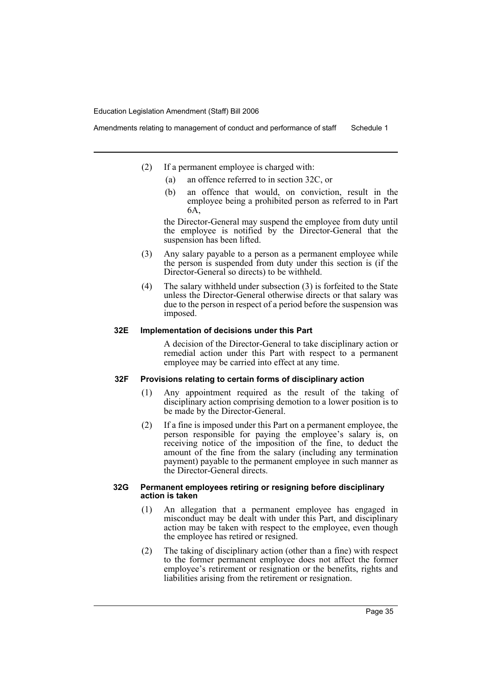- (2) If a permanent employee is charged with:
	- (a) an offence referred to in section 32C, or
	- (b) an offence that would, on conviction, result in the employee being a prohibited person as referred to in Part 6A,

the Director-General may suspend the employee from duty until the employee is notified by the Director-General that the suspension has been lifted.

- (3) Any salary payable to a person as a permanent employee while the person is suspended from duty under this section is (if the Director-General so directs) to be withheld.
- (4) The salary withheld under subsection (3) is forfeited to the State unless the Director-General otherwise directs or that salary was due to the person in respect of a period before the suspension was imposed.

# **32E Implementation of decisions under this Part**

A decision of the Director-General to take disciplinary action or remedial action under this Part with respect to a permanent employee may be carried into effect at any time.

#### **32F Provisions relating to certain forms of disciplinary action**

- (1) Any appointment required as the result of the taking of disciplinary action comprising demotion to a lower position is to be made by the Director-General.
- (2) If a fine is imposed under this Part on a permanent employee, the person responsible for paying the employee's salary is, on receiving notice of the imposition of the fine, to deduct the amount of the fine from the salary (including any termination payment) payable to the permanent employee in such manner as the Director-General directs.

#### **32G Permanent employees retiring or resigning before disciplinary action is taken**

- (1) An allegation that a permanent employee has engaged in misconduct may be dealt with under this Part, and disciplinary action may be taken with respect to the employee, even though the employee has retired or resigned.
- (2) The taking of disciplinary action (other than a fine) with respect to the former permanent employee does not affect the former employee's retirement or resignation or the benefits, rights and liabilities arising from the retirement or resignation.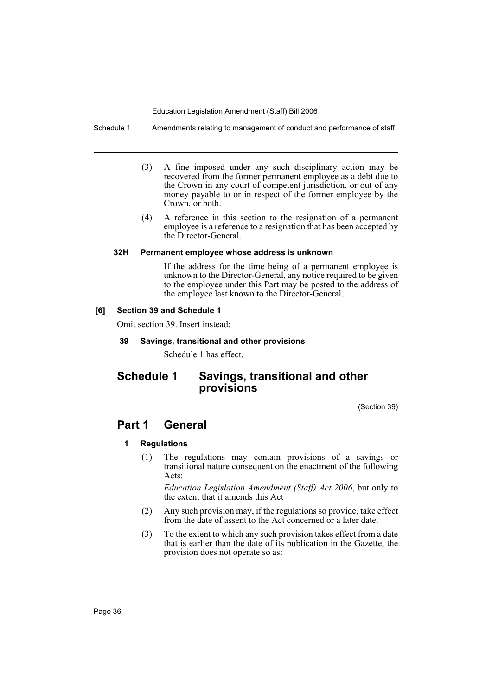Schedule 1 Amendments relating to management of conduct and performance of staff

- (3) A fine imposed under any such disciplinary action may be recovered from the former permanent employee as a debt due to the Crown in any court of competent jurisdiction, or out of any money payable to or in respect of the former employee by the Crown, or both.
- (4) A reference in this section to the resignation of a permanent employee is a reference to a resignation that has been accepted by the Director-General.

# **32H Permanent employee whose address is unknown**

If the address for the time being of a permanent employee is unknown to the Director-General, any notice required to be given to the employee under this Part may be posted to the address of the employee last known to the Director-General.

# **[6] Section 39 and Schedule 1**

Omit section 39. Insert instead:

# **39 Savings, transitional and other provisions**

Schedule 1 has effect.

# **Schedule 1 Savings, transitional and other provisions**

(Section 39)

# **Part 1 General**

# **1 Regulations**

(1) The regulations may contain provisions of a savings or transitional nature consequent on the enactment of the following Acts:

*Education Legislation Amendment (Staff) Act 2006*, but only to the extent that it amends this Act

- (2) Any such provision may, if the regulations so provide, take effect from the date of assent to the Act concerned or a later date.
- (3) To the extent to which any such provision takes effect from a date that is earlier than the date of its publication in the Gazette, the provision does not operate so as: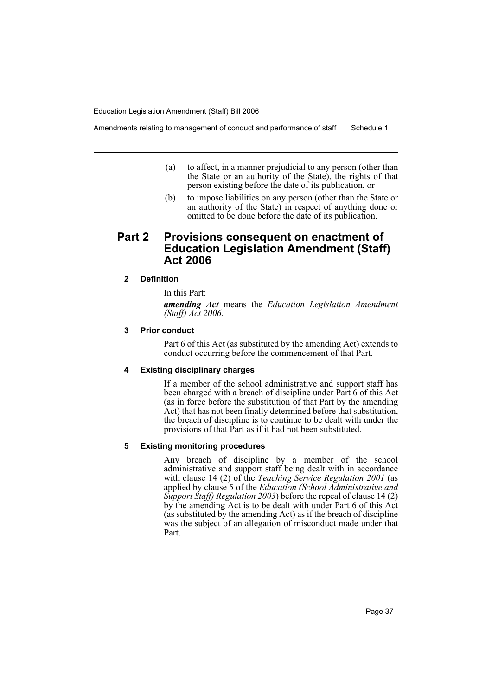Amendments relating to management of conduct and performance of staff Schedule 1

- (a) to affect, in a manner prejudicial to any person (other than the State or an authority of the State), the rights of that person existing before the date of its publication, or
- (b) to impose liabilities on any person (other than the State or an authority of the State) in respect of anything done or omitted to be done before the date of its publication.

# **Part 2 Provisions consequent on enactment of Education Legislation Amendment (Staff) Act 2006**

# **2 Definition**

In this Part:

*amending Act* means the *Education Legislation Amendment (Staff) Act 2006*.

# **3 Prior conduct**

Part 6 of this Act (as substituted by the amending Act) extends to conduct occurring before the commencement of that Part.

# **4 Existing disciplinary charges**

If a member of the school administrative and support staff has been charged with a breach of discipline under Part 6 of this Act (as in force before the substitution of that Part by the amending Act) that has not been finally determined before that substitution, the breach of discipline is to continue to be dealt with under the provisions of that Part as if it had not been substituted.

#### **5 Existing monitoring procedures**

Any breach of discipline by a member of the school administrative and support staff being dealt with in accordance with clause 14 (2) of the *Teaching Service Regulation 2001* (as applied by clause 5 of the *Education (School Administrative and Support Staff) Regulation 2003*) before the repeal of clause 14 (2) by the amending Act is to be dealt with under Part 6 of this Act (as substituted by the amending Act) as if the breach of discipline was the subject of an allegation of misconduct made under that Part.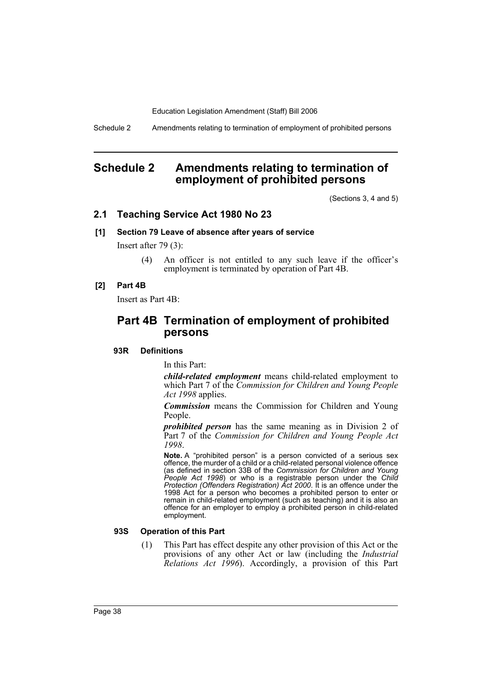Schedule 2 Amendments relating to termination of employment of prohibited persons

# **Schedule 2 Amendments relating to termination of employment of prohibited persons**

(Sections 3, 4 and 5)

# **2.1 Teaching Service Act 1980 No 23**

#### **[1] Section 79 Leave of absence after years of service**

Insert after 79 (3):

(4) An officer is not entitled to any such leave if the officer's employment is terminated by operation of Part 4B.

#### **[2] Part 4B**

Insert as Part 4B:

# **Part 4B Termination of employment of prohibited persons**

### **93R Definitions**

In this Part:

*child-related employment* means child-related employment to which Part 7 of the *Commission for Children and Young People Act 1998* applies.

*Commission* means the Commission for Children and Young People.

*prohibited person* has the same meaning as in Division 2 of Part 7 of the *Commission for Children and Young People Act 1998*.

**Note.** A "prohibited person" is a person convicted of a serious sex offence, the murder of a child or a child-related personal violence offence (as defined in section 33B of the *Commission for Children and Young People Act 1998*) or who is a registrable person under the *Child Protection (Offenders Registration) Act 2000*. It is an offence under the 1998 Act for a person who becomes a prohibited person to enter or remain in child-related employment (such as teaching) and it is also an offence for an employer to employ a prohibited person in child-related employment.

#### **93S Operation of this Part**

(1) This Part has effect despite any other provision of this Act or the provisions of any other Act or law (including the *Industrial Relations Act 1996*). Accordingly, a provision of this Part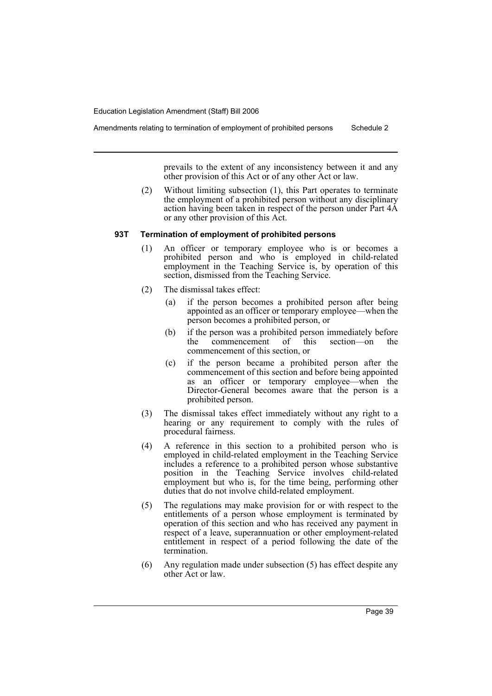prevails to the extent of any inconsistency between it and any other provision of this Act or of any other Act or law.

(2) Without limiting subsection (1), this Part operates to terminate the employment of a prohibited person without any disciplinary action having been taken in respect of the person under Part 4A or any other provision of this Act.

#### **93T Termination of employment of prohibited persons**

- (1) An officer or temporary employee who is or becomes a prohibited person and who is employed in child-related employment in the Teaching Service is, by operation of this section, dismissed from the Teaching Service.
- (2) The dismissal takes effect:
	- (a) if the person becomes a prohibited person after being appointed as an officer or temporary employee—when the person becomes a prohibited person, or
	- (b) if the person was a prohibited person immediately before<br>the commencement of this section—on the commencement of this section—on the commencement of this section, or
	- (c) if the person became a prohibited person after the commencement of this section and before being appointed as an officer or temporary employee—when the Director-General becomes aware that the person is a prohibited person.
- (3) The dismissal takes effect immediately without any right to a hearing or any requirement to comply with the rules of procedural fairness.
- (4) A reference in this section to a prohibited person who is employed in child-related employment in the Teaching Service includes a reference to a prohibited person whose substantive position in the Teaching Service involves child-related employment but who is, for the time being, performing other duties that do not involve child-related employment.
- (5) The regulations may make provision for or with respect to the entitlements of a person whose employment is terminated by operation of this section and who has received any payment in respect of a leave, superannuation or other employment-related entitlement in respect of a period following the date of the termination.
- (6) Any regulation made under subsection (5) has effect despite any other Act or law.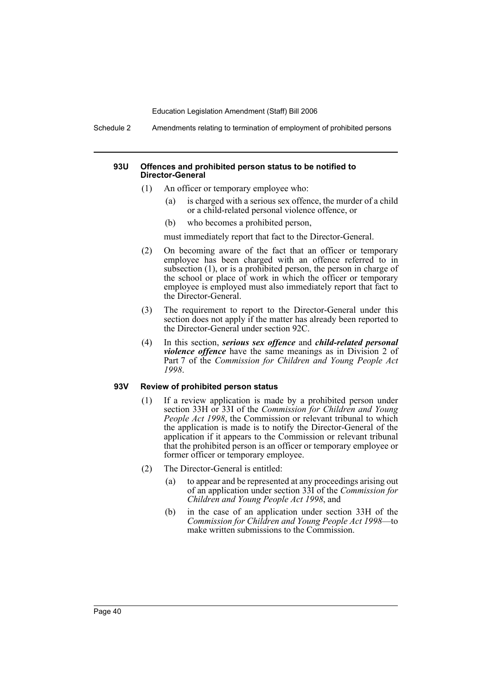Schedule 2 Amendments relating to termination of employment of prohibited persons

#### **93U Offences and prohibited person status to be notified to Director-General**

- (1) An officer or temporary employee who:
	- (a) is charged with a serious sex offence, the murder of a child or a child-related personal violence offence, or
	- (b) who becomes a prohibited person,

must immediately report that fact to the Director-General.

- (2) On becoming aware of the fact that an officer or temporary employee has been charged with an offence referred to in subsection (1), or is a prohibited person, the person in charge of the school or place of work in which the officer or temporary employee is employed must also immediately report that fact to the Director-General.
- (3) The requirement to report to the Director-General under this section does not apply if the matter has already been reported to the Director-General under section 92C.
- (4) In this section, *serious sex offence* and *child-related personal violence offence* have the same meanings as in Division 2 of Part 7 of the *Commission for Children and Young People Act 1998*.

# **93V Review of prohibited person status**

- (1) If a review application is made by a prohibited person under section 33H or 33I of the *Commission for Children and Young People Act 1998*, the Commission or relevant tribunal to which the application is made is to notify the Director-General of the application if it appears to the Commission or relevant tribunal that the prohibited person is an officer or temporary employee or former officer or temporary employee.
- (2) The Director-General is entitled:
	- (a) to appear and be represented at any proceedings arising out of an application under section 33I of the *Commission for Children and Young People Act 1998*, and
	- (b) in the case of an application under section 33H of the *Commission for Children and Young People Act 1998*—to make written submissions to the Commission.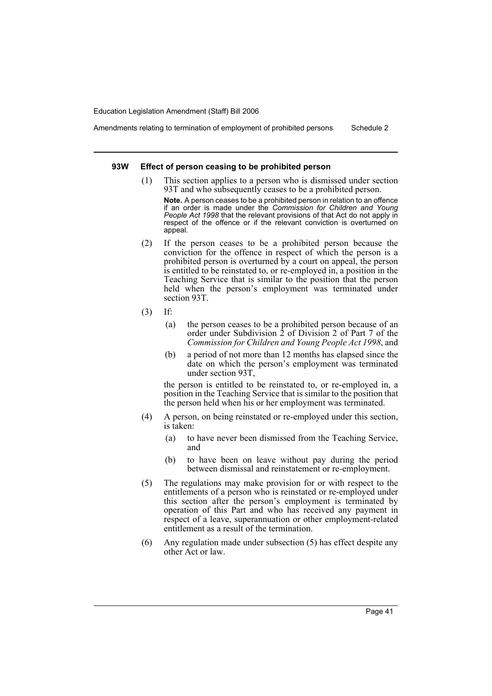Amendments relating to termination of employment of prohibited persons Schedule 2

#### **93W Effect of person ceasing to be prohibited person**

(1) This section applies to a person who is dismissed under section 93T and who subsequently ceases to be a prohibited person.

**Note.** A person ceases to be a prohibited person in relation to an offence if an order is made under the *Commission for Children and Young People Act 1998* that the relevant provisions of that Act do not apply in respect of the offence or if the relevant conviction is overturned on appeal.

- (2) If the person ceases to be a prohibited person because the conviction for the offence in respect of which the person is a prohibited person is overturned by a court on appeal, the person is entitled to be reinstated to, or re-employed in, a position in the Teaching Service that is similar to the position that the person held when the person's employment was terminated under section 93T.
- (3) If:
	- (a) the person ceases to be a prohibited person because of an order under Subdivision 2 of Division 2 of Part 7 of the *Commission for Children and Young People Act 1998*, and
	- (b) a period of not more than 12 months has elapsed since the date on which the person's employment was terminated under section 93T,

the person is entitled to be reinstated to, or re-employed in, a position in the Teaching Service that is similar to the position that the person held when his or her employment was terminated.

- (4) A person, on being reinstated or re-employed under this section, is taken:
	- (a) to have never been dismissed from the Teaching Service, and
	- (b) to have been on leave without pay during the period between dismissal and reinstatement or re-employment.
- (5) The regulations may make provision for or with respect to the entitlements of a person who is reinstated or re-employed under this section after the person's employment is terminated by operation of this Part and who has received any payment in respect of a leave, superannuation or other employment-related entitlement as a result of the termination.
- (6) Any regulation made under subsection (5) has effect despite any other Act or law.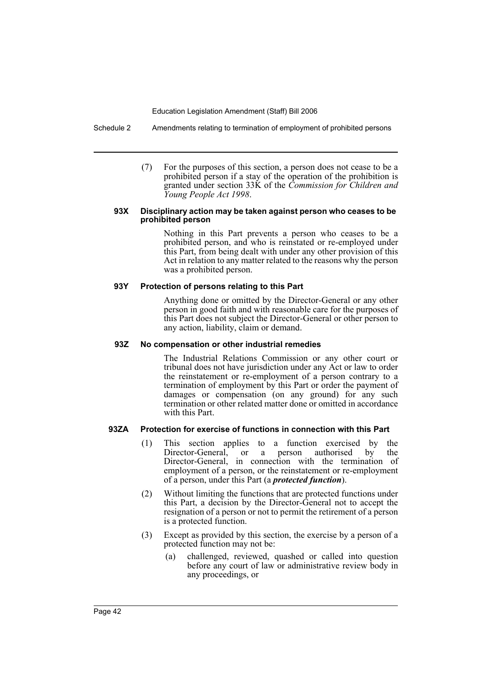Schedule 2 Amendments relating to termination of employment of prohibited persons

(7) For the purposes of this section, a person does not cease to be a prohibited person if a stay of the operation of the prohibition is granted under section 33K of the *Commission for Children and Young People Act 1998*.

#### **93X Disciplinary action may be taken against person who ceases to be prohibited person**

Nothing in this Part prevents a person who ceases to be a prohibited person, and who is reinstated or re-employed under this Part, from being dealt with under any other provision of this Act in relation to any matter related to the reasons why the person was a prohibited person.

### **93Y Protection of persons relating to this Part**

Anything done or omitted by the Director-General or any other person in good faith and with reasonable care for the purposes of this Part does not subject the Director-General or other person to any action, liability, claim or demand.

# **93Z No compensation or other industrial remedies**

The Industrial Relations Commission or any other court or tribunal does not have jurisdiction under any Act or law to order the reinstatement or re-employment of a person contrary to a termination of employment by this Part or order the payment of damages or compensation (on any ground) for any such termination or other related matter done or omitted in accordance with this Part.

# **93ZA Protection for exercise of functions in connection with this Part**

- (1) This section applies to a function exercised by the Director-General, or a person authorised by the Director-General, in connection with the termination of employment of a person, or the reinstatement or re-employment of a person, under this Part (a *protected function*).
- (2) Without limiting the functions that are protected functions under this Part, a decision by the Director-General not to accept the resignation of a person or not to permit the retirement of a person is a protected function.
- (3) Except as provided by this section, the exercise by a person of a protected function may not be:
	- (a) challenged, reviewed, quashed or called into question before any court of law or administrative review body in any proceedings, or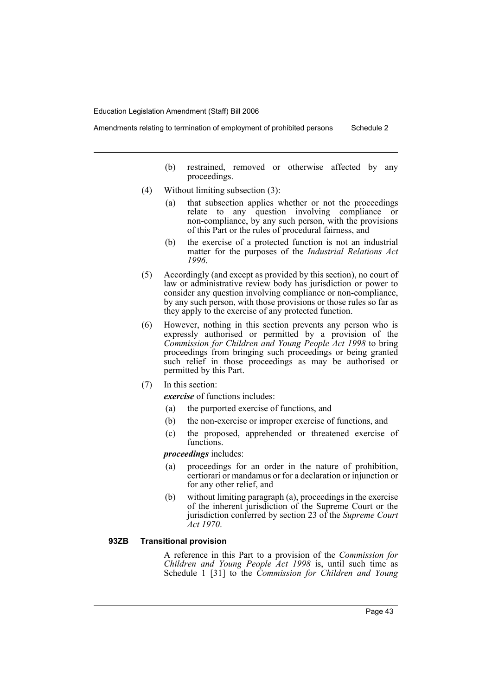- (b) restrained, removed or otherwise affected by any proceedings.
- (4) Without limiting subsection (3):
	- (a) that subsection applies whether or not the proceedings relate to any question involving compliance or non-compliance, by any such person, with the provisions of this Part or the rules of procedural fairness, and
	- (b) the exercise of a protected function is not an industrial matter for the purposes of the *Industrial Relations Act 1996*.
- (5) Accordingly (and except as provided by this section), no court of law or administrative review body has jurisdiction or power to consider any question involving compliance or non-compliance, by any such person, with those provisions or those rules so far as they apply to the exercise of any protected function.
- (6) However, nothing in this section prevents any person who is expressly authorised or permitted by a provision of the *Commission for Children and Young People Act 1998* to bring proceedings from bringing such proceedings or being granted such relief in those proceedings as may be authorised or permitted by this Part.
- (7) In this section:

*exercise* of functions includes:

- (a) the purported exercise of functions, and
- (b) the non-exercise or improper exercise of functions, and
- (c) the proposed, apprehended or threatened exercise of functions.

*proceedings* includes:

- (a) proceedings for an order in the nature of prohibition, certiorari or mandamus or for a declaration or injunction or for any other relief, and
- (b) without limiting paragraph (a), proceedings in the exercise of the inherent jurisdiction of the Supreme Court or the jurisdiction conferred by section 23 of the *Supreme Court Act 1970*.

### **93ZB Transitional provision**

A reference in this Part to a provision of the *Commission for Children and Young People Act 1998* is, until such time as Schedule 1 [31] to the *Commission for Children and Young*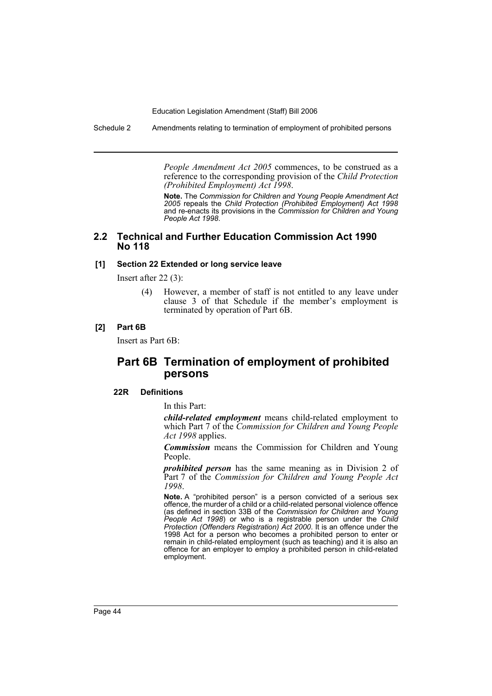Schedule 2 Amendments relating to termination of employment of prohibited persons

*People Amendment Act 2005* commences, to be construed as a reference to the corresponding provision of the *Child Protection (Prohibited Employment) Act 1998*.

**Note.** The *Commission for Children and Young People Amendment Act 2005* repeals the *Child Protection (Prohibited Employment) Act 1998* and re-enacts its provisions in the *Commission for Children and Young People Act 1998*.

# **2.2 Technical and Further Education Commission Act 1990 No 118**

#### **[1] Section 22 Extended or long service leave**

Insert after 22 (3):

(4) However, a member of staff is not entitled to any leave under clause 3 of that Schedule if the member's employment is terminated by operation of Part 6B.

#### **[2] Part 6B**

Insert as Part 6B:

# **Part 6B Termination of employment of prohibited persons**

#### **22R Definitions**

In this Part:

*child-related employment* means child-related employment to which Part 7 of the *Commission for Children and Young People Act 1998* applies.

*Commission* means the Commission for Children and Young People.

*prohibited person* has the same meaning as in Division 2 of Part 7 of the *Commission for Children and Young People Act 1998*.

**Note.** A "prohibited person" is a person convicted of a serious sex offence, the murder of a child or a child-related personal violence offence (as defined in section 33B of the *Commission for Children and Young People Act 1998*) or who is a registrable person under the *Child Protection (Offenders Registration) Act 2000*. It is an offence under the 1998 Act for a person who becomes a prohibited person to enter or remain in child-related employment (such as teaching) and it is also an offence for an employer to employ a prohibited person in child-related employment.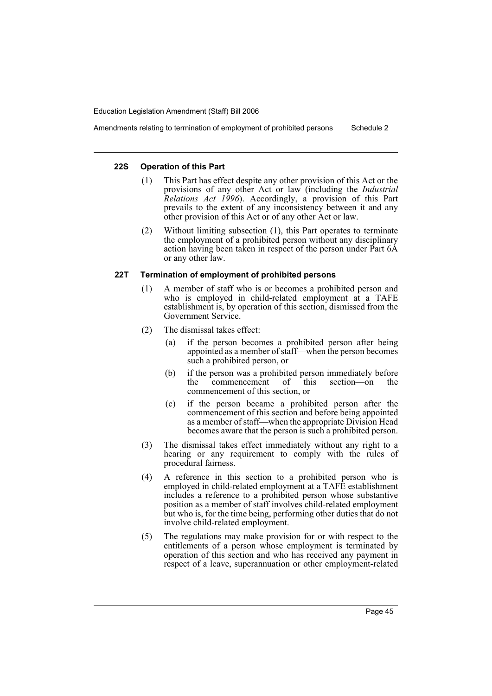# Amendments relating to termination of employment of prohibited persons Schedule 2

#### **22S Operation of this Part**

- (1) This Part has effect despite any other provision of this Act or the provisions of any other Act or law (including the *Industrial Relations Act 1996*). Accordingly, a provision of this Part prevails to the extent of any inconsistency between it and any other provision of this Act or of any other Act or law.
- (2) Without limiting subsection (1), this Part operates to terminate the employment of a prohibited person without any disciplinary action having been taken in respect of the person under Part 6A or any other law.

#### **22T Termination of employment of prohibited persons**

- (1) A member of staff who is or becomes a prohibited person and who is employed in child-related employment at a TAFE establishment is, by operation of this section, dismissed from the Government Service.
- (2) The dismissal takes effect:
	- (a) if the person becomes a prohibited person after being appointed as a member of staff—when the person becomes such a prohibited person, or
	- (b) if the person was a prohibited person immediately before the commencement of this section—on the commencement of this section, or
	- (c) if the person became a prohibited person after the commencement of this section and before being appointed as a member of staff—when the appropriate Division Head becomes aware that the person is such a prohibited person.
- (3) The dismissal takes effect immediately without any right to a hearing or any requirement to comply with the rules of procedural fairness.
- (4) A reference in this section to a prohibited person who is employed in child-related employment at a TAFE establishment includes a reference to a prohibited person whose substantive position as a member of staff involves child-related employment but who is, for the time being, performing other duties that do not involve child-related employment.
- (5) The regulations may make provision for or with respect to the entitlements of a person whose employment is terminated by operation of this section and who has received any payment in respect of a leave, superannuation or other employment-related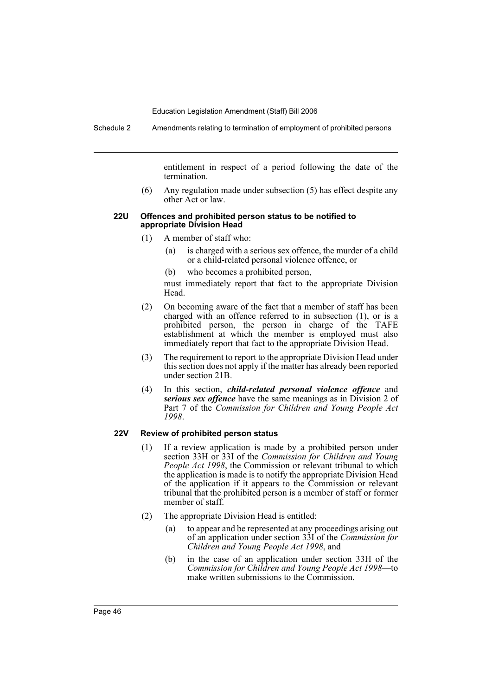Schedule 2 Amendments relating to termination of employment of prohibited persons

entitlement in respect of a period following the date of the termination.

(6) Any regulation made under subsection (5) has effect despite any other Act or law.

#### **22U Offences and prohibited person status to be notified to appropriate Division Head**

- (1) A member of staff who:
	- (a) is charged with a serious sex offence, the murder of a child or a child-related personal violence offence, or
	- (b) who becomes a prohibited person,

must immediately report that fact to the appropriate Division Head.

- (2) On becoming aware of the fact that a member of staff has been charged with an offence referred to in subsection (1), or is a prohibited person, the person in charge of the TAFE establishment at which the member is employed must also immediately report that fact to the appropriate Division Head.
- (3) The requirement to report to the appropriate Division Head under this section does not apply if the matter has already been reported under section 21B.
- (4) In this section, *child-related personal violence offence* and *serious sex offence* have the same meanings as in Division 2 of Part 7 of the *Commission for Children and Young People Act 1998*.

#### **22V Review of prohibited person status**

- (1) If a review application is made by a prohibited person under section 33H or 33I of the *Commission for Children and Young People Act 1998*, the Commission or relevant tribunal to which the application is made is to notify the appropriate Division Head of the application if it appears to the Commission or relevant tribunal that the prohibited person is a member of staff or former member of staff.
- (2) The appropriate Division Head is entitled:
	- (a) to appear and be represented at any proceedings arising out of an application under section 33I of the *Commission for Children and Young People Act 1998*, and
	- (b) in the case of an application under section 33H of the *Commission for Children and Young People Act 1998*—to make written submissions to the Commission.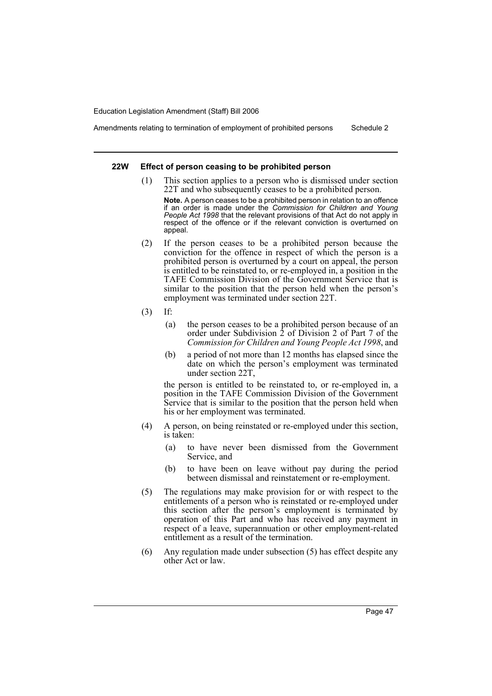Amendments relating to termination of employment of prohibited persons Schedule 2

#### **22W Effect of person ceasing to be prohibited person**

(1) This section applies to a person who is dismissed under section 22T and who subsequently ceases to be a prohibited person.

**Note.** A person ceases to be a prohibited person in relation to an offence if an order is made under the *Commission for Children and Young People Act 1998* that the relevant provisions of that Act do not apply in respect of the offence or if the relevant conviction is overturned on appeal.

- (2) If the person ceases to be a prohibited person because the conviction for the offence in respect of which the person is a prohibited person is overturned by a court on appeal, the person is entitled to be reinstated to, or re-employed in, a position in the TAFE Commission Division of the Government Service that is similar to the position that the person held when the person's employment was terminated under section 22T.
- (3) If:
	- (a) the person ceases to be a prohibited person because of an order under Subdivision 2 of Division 2 of Part 7 of the *Commission for Children and Young People Act 1998*, and
	- (b) a period of not more than 12 months has elapsed since the date on which the person's employment was terminated under section 22T,

the person is entitled to be reinstated to, or re-employed in, a position in the TAFE Commission Division of the Government Service that is similar to the position that the person held when his or her employment was terminated.

- (4) A person, on being reinstated or re-employed under this section, is taken:
	- (a) to have never been dismissed from the Government Service, and
	- (b) to have been on leave without pay during the period between dismissal and reinstatement or re-employment.
- (5) The regulations may make provision for or with respect to the entitlements of a person who is reinstated or re-employed under this section after the person's employment is terminated by operation of this Part and who has received any payment in respect of a leave, superannuation or other employment-related entitlement as a result of the termination.
- (6) Any regulation made under subsection (5) has effect despite any other Act or law.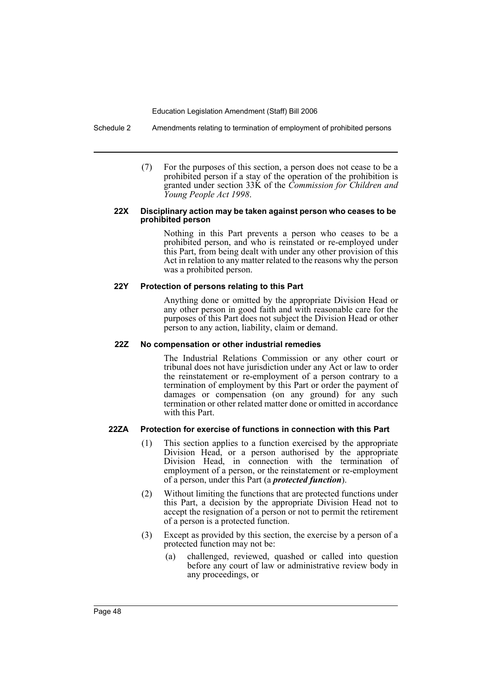Schedule 2 Amendments relating to termination of employment of prohibited persons

(7) For the purposes of this section, a person does not cease to be a prohibited person if a stay of the operation of the prohibition is granted under section 33K of the *Commission for Children and Young People Act 1998*.

#### **22X Disciplinary action may be taken against person who ceases to be prohibited person**

Nothing in this Part prevents a person who ceases to be a prohibited person, and who is reinstated or re-employed under this Part, from being dealt with under any other provision of this Act in relation to any matter related to the reasons why the person was a prohibited person.

### **22Y Protection of persons relating to this Part**

Anything done or omitted by the appropriate Division Head or any other person in good faith and with reasonable care for the purposes of this Part does not subject the Division Head or other person to any action, liability, claim or demand.

#### **22Z No compensation or other industrial remedies**

The Industrial Relations Commission or any other court or tribunal does not have jurisdiction under any Act or law to order the reinstatement or re-employment of a person contrary to a termination of employment by this Part or order the payment of damages or compensation (on any ground) for any such termination or other related matter done or omitted in accordance with this Part.

# **22ZA Protection for exercise of functions in connection with this Part**

- (1) This section applies to a function exercised by the appropriate Division Head, or a person authorised by the appropriate Division Head, in connection with the termination of employment of a person, or the reinstatement or re-employment of a person, under this Part (a *protected function*).
- (2) Without limiting the functions that are protected functions under this Part, a decision by the appropriate Division Head not to accept the resignation of a person or not to permit the retirement of a person is a protected function.
- (3) Except as provided by this section, the exercise by a person of a protected function may not be:
	- (a) challenged, reviewed, quashed or called into question before any court of law or administrative review body in any proceedings, or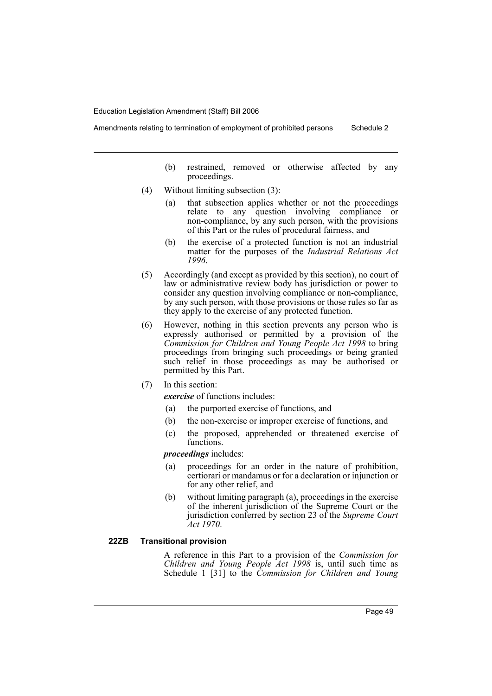- (b) restrained, removed or otherwise affected by any proceedings.
- (4) Without limiting subsection (3):
	- (a) that subsection applies whether or not the proceedings relate to any question involving compliance or non-compliance, by any such person, with the provisions of this Part or the rules of procedural fairness, and
	- (b) the exercise of a protected function is not an industrial matter for the purposes of the *Industrial Relations Act 1996*.
- (5) Accordingly (and except as provided by this section), no court of law or administrative review body has jurisdiction or power to consider any question involving compliance or non-compliance, by any such person, with those provisions or those rules so far as they apply to the exercise of any protected function.
- (6) However, nothing in this section prevents any person who is expressly authorised or permitted by a provision of the *Commission for Children and Young People Act 1998* to bring proceedings from bringing such proceedings or being granted such relief in those proceedings as may be authorised or permitted by this Part.
- (7) In this section:

*exercise* of functions includes:

- (a) the purported exercise of functions, and
- (b) the non-exercise or improper exercise of functions, and
- (c) the proposed, apprehended or threatened exercise of functions.

*proceedings* includes:

- (a) proceedings for an order in the nature of prohibition, certiorari or mandamus or for a declaration or injunction or for any other relief, and
- (b) without limiting paragraph (a), proceedings in the exercise of the inherent jurisdiction of the Supreme Court or the jurisdiction conferred by section 23 of the *Supreme Court Act 1970*.

#### **22ZB Transitional provision**

A reference in this Part to a provision of the *Commission for Children and Young People Act 1998* is, until such time as Schedule 1 [31] to the *Commission for Children and Young*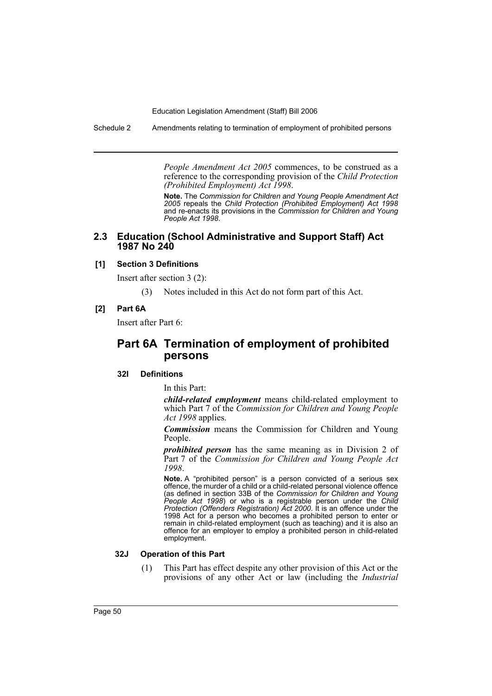Schedule 2 Amendments relating to termination of employment of prohibited persons

*People Amendment Act 2005* commences, to be construed as a reference to the corresponding provision of the *Child Protection (Prohibited Employment) Act 1998*.

**Note.** The *Commission for Children and Young People Amendment Act 2005* repeals the *Child Protection (Prohibited Employment) Act 1998* and re-enacts its provisions in the *Commission for Children and Young People Act 1998*.

# **2.3 Education (School Administrative and Support Staff) Act 1987 No 240**

#### **[1] Section 3 Definitions**

Insert after section 3 (2):

(3) Notes included in this Act do not form part of this Act.

# **[2] Part 6A**

Insert after Part 6:

# **Part 6A Termination of employment of prohibited persons**

#### **32I Definitions**

In this Part:

*child-related employment* means child-related employment to which Part 7 of the *Commission for Children and Young People Act 1998* applies.

*Commission* means the Commission for Children and Young People.

*prohibited person* has the same meaning as in Division 2 of Part 7 of the *Commission for Children and Young People Act 1998*.

**Note.** A "prohibited person" is a person convicted of a serious sex offence, the murder of a child or a child-related personal violence offence (as defined in section 33B of the *Commission for Children and Young People Act 1998*) or who is a registrable person under the *Child Protection (Offenders Registration) Act 2000*. It is an offence under the 1998 Act for a person who becomes a prohibited person to enter or remain in child-related employment (such as teaching) and it is also an offence for an employer to employ a prohibited person in child-related employment.

#### **32J Operation of this Part**

(1) This Part has effect despite any other provision of this Act or the provisions of any other Act or law (including the *Industrial*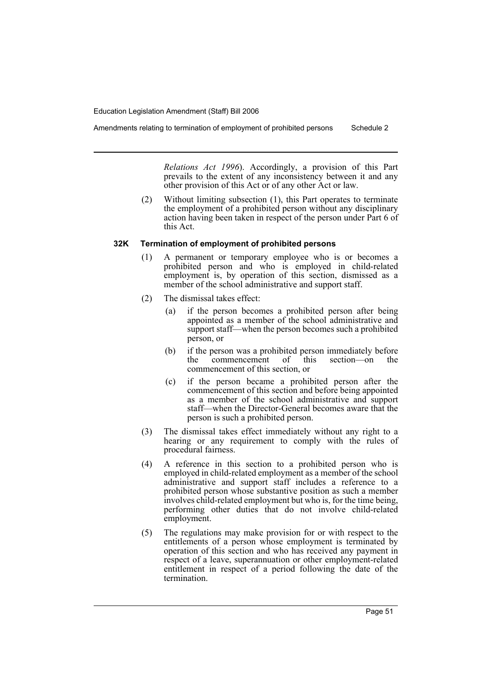*Relations Act 1996*). Accordingly, a provision of this Part prevails to the extent of any inconsistency between it and any

(2) Without limiting subsection (1), this Part operates to terminate the employment of a prohibited person without any disciplinary action having been taken in respect of the person under Part 6 of this Act.

other provision of this Act or of any other Act or law.

#### **32K Termination of employment of prohibited persons**

- (1) A permanent or temporary employee who is or becomes a prohibited person and who is employed in child-related employment is, by operation of this section, dismissed as a member of the school administrative and support staff.
- (2) The dismissal takes effect:
	- (a) if the person becomes a prohibited person after being appointed as a member of the school administrative and support staff—when the person becomes such a prohibited person, or
	- (b) if the person was a prohibited person immediately before the commencement of this section—on the commencement of this section, or
	- (c) if the person became a prohibited person after the commencement of this section and before being appointed as a member of the school administrative and support staff—when the Director-General becomes aware that the person is such a prohibited person.
- (3) The dismissal takes effect immediately without any right to a hearing or any requirement to comply with the rules of procedural fairness.
- (4) A reference in this section to a prohibited person who is employed in child-related employment as a member of the school administrative and support staff includes a reference to a prohibited person whose substantive position as such a member involves child-related employment but who is, for the time being, performing other duties that do not involve child-related employment.
- (5) The regulations may make provision for or with respect to the entitlements of a person whose employment is terminated by operation of this section and who has received any payment in respect of a leave, superannuation or other employment-related entitlement in respect of a period following the date of the termination.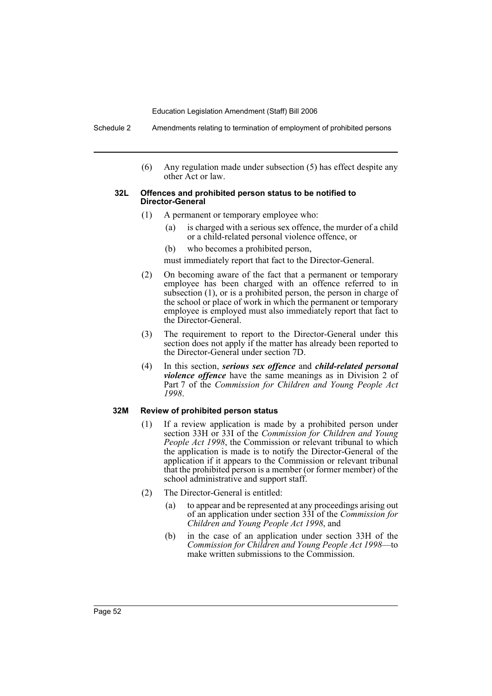Schedule 2 Amendments relating to termination of employment of prohibited persons

(6) Any regulation made under subsection (5) has effect despite any other Act or law.

#### **32L Offences and prohibited person status to be notified to Director-General**

- (1) A permanent or temporary employee who:
	- (a) is charged with a serious sex offence, the murder of a child or a child-related personal violence offence, or
	- (b) who becomes a prohibited person,

must immediately report that fact to the Director-General.

- (2) On becoming aware of the fact that a permanent or temporary employee has been charged with an offence referred to in subsection (1), or is a prohibited person, the person in charge of the school or place of work in which the permanent or temporary employee is employed must also immediately report that fact to the Director-General.
- (3) The requirement to report to the Director-General under this section does not apply if the matter has already been reported to the Director-General under section 7D.
- (4) In this section, *serious sex offence* and *child-related personal violence offence* have the same meanings as in Division 2 of Part 7 of the *Commission for Children and Young People Act 1998*.

#### **32M Review of prohibited person status**

- (1) If a review application is made by a prohibited person under section 33H or 33I of the *Commission for Children and Young People Act 1998*, the Commission or relevant tribunal to which the application is made is to notify the Director-General of the application if it appears to the Commission or relevant tribunal that the prohibited person is a member (or former member) of the school administrative and support staff.
- (2) The Director-General is entitled:
	- (a) to appear and be represented at any proceedings arising out of an application under section 33I of the *Commission for Children and Young People Act 1998*, and
	- (b) in the case of an application under section 33H of the *Commission for Children and Young People Act 1998*—to make written submissions to the Commission.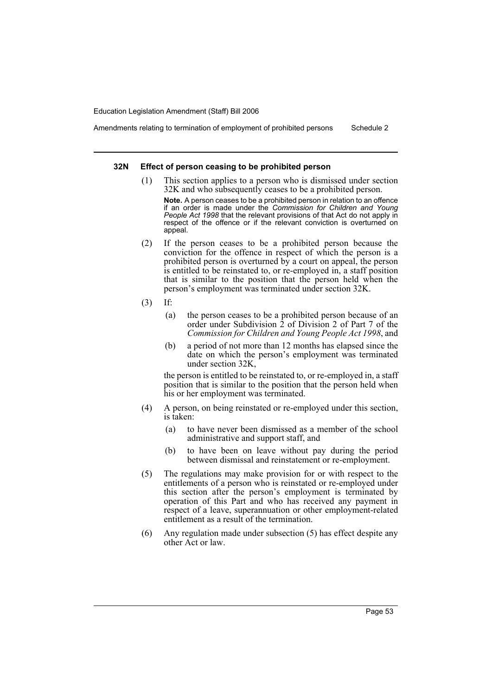Amendments relating to termination of employment of prohibited persons Schedule 2

#### **32N Effect of person ceasing to be prohibited person**

(1) This section applies to a person who is dismissed under section 32K and who subsequently ceases to be a prohibited person.

**Note.** A person ceases to be a prohibited person in relation to an offence if an order is made under the *Commission for Children and Young People Act 1998* that the relevant provisions of that Act do not apply in respect of the offence or if the relevant conviction is overturned on appeal.

- (2) If the person ceases to be a prohibited person because the conviction for the offence in respect of which the person is a prohibited person is overturned by a court on appeal, the person is entitled to be reinstated to, or re-employed in, a staff position that is similar to the position that the person held when the person's employment was terminated under section 32K.
- (3) If:
	- (a) the person ceases to be a prohibited person because of an order under Subdivision 2 of Division 2 of Part 7 of the *Commission for Children and Young People Act 1998*, and
	- (b) a period of not more than 12 months has elapsed since the date on which the person's employment was terminated under section 32K,

the person is entitled to be reinstated to, or re-employed in, a staff position that is similar to the position that the person held when his or her employment was terminated.

- (4) A person, on being reinstated or re-employed under this section, is taken:
	- (a) to have never been dismissed as a member of the school administrative and support staff, and
	- (b) to have been on leave without pay during the period between dismissal and reinstatement or re-employment.
- (5) The regulations may make provision for or with respect to the entitlements of a person who is reinstated or re-employed under this section after the person's employment is terminated by operation of this Part and who has received any payment in respect of a leave, superannuation or other employment-related entitlement as a result of the termination.
- (6) Any regulation made under subsection (5) has effect despite any other Act or law.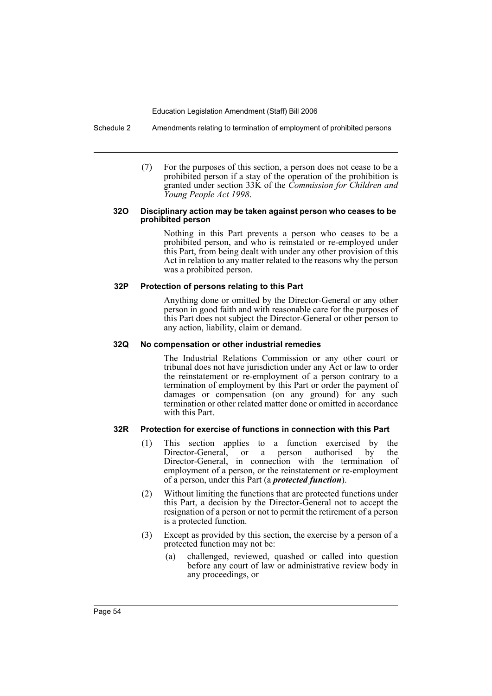Schedule 2 Amendments relating to termination of employment of prohibited persons

(7) For the purposes of this section, a person does not cease to be a prohibited person if a stay of the operation of the prohibition is granted under section 33K of the *Commission for Children and Young People Act 1998*.

#### **32O Disciplinary action may be taken against person who ceases to be prohibited person**

Nothing in this Part prevents a person who ceases to be a prohibited person, and who is reinstated or re-employed under this Part, from being dealt with under any other provision of this Act in relation to any matter related to the reasons why the person was a prohibited person.

### **32P Protection of persons relating to this Part**

Anything done or omitted by the Director-General or any other person in good faith and with reasonable care for the purposes of this Part does not subject the Director-General or other person to any action, liability, claim or demand.

# **32Q No compensation or other industrial remedies**

The Industrial Relations Commission or any other court or tribunal does not have jurisdiction under any Act or law to order the reinstatement or re-employment of a person contrary to a termination of employment by this Part or order the payment of damages or compensation (on any ground) for any such termination or other related matter done or omitted in accordance with this Part.

# **32R Protection for exercise of functions in connection with this Part**

- (1) This section applies to a function exercised by the Director-General, or a person authorised by the Director-General, in connection with the termination of employment of a person, or the reinstatement or re-employment of a person, under this Part (a *protected function*).
- (2) Without limiting the functions that are protected functions under this Part, a decision by the Director-General not to accept the resignation of a person or not to permit the retirement of a person is a protected function.
- (3) Except as provided by this section, the exercise by a person of a protected function may not be:
	- (a) challenged, reviewed, quashed or called into question before any court of law or administrative review body in any proceedings, or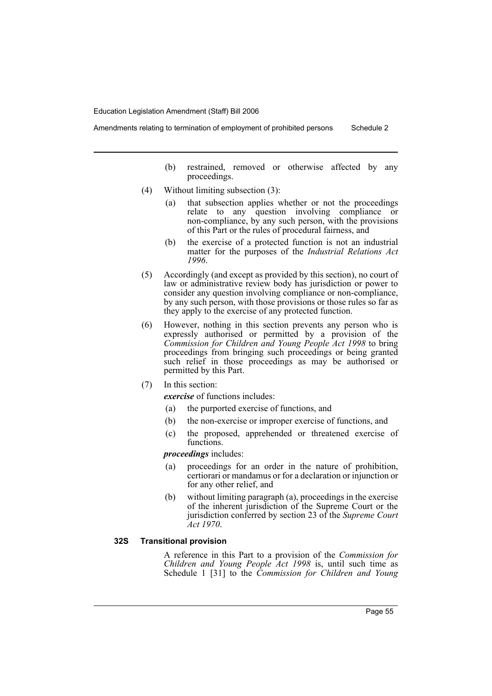- (b) restrained, removed or otherwise affected by any proceedings.
- (4) Without limiting subsection (3):
	- (a) that subsection applies whether or not the proceedings relate to any question involving compliance or non-compliance, by any such person, with the provisions of this Part or the rules of procedural fairness, and
	- (b) the exercise of a protected function is not an industrial matter for the purposes of the *Industrial Relations Act 1996*.
- (5) Accordingly (and except as provided by this section), no court of law or administrative review body has jurisdiction or power to consider any question involving compliance or non-compliance, by any such person, with those provisions or those rules so far as they apply to the exercise of any protected function.
- (6) However, nothing in this section prevents any person who is expressly authorised or permitted by a provision of the *Commission for Children and Young People Act 1998* to bring proceedings from bringing such proceedings or being granted such relief in those proceedings as may be authorised or permitted by this Part.
- (7) In this section:

*exercise* of functions includes:

- (a) the purported exercise of functions, and
- (b) the non-exercise or improper exercise of functions, and
- (c) the proposed, apprehended or threatened exercise of functions.

*proceedings* includes:

- (a) proceedings for an order in the nature of prohibition, certiorari or mandamus or for a declaration or injunction or for any other relief, and
- (b) without limiting paragraph (a), proceedings in the exercise of the inherent jurisdiction of the Supreme Court or the jurisdiction conferred by section 23 of the *Supreme Court Act 1970*.

### **32S Transitional provision**

A reference in this Part to a provision of the *Commission for Children and Young People Act 1998* is, until such time as Schedule 1 [31] to the *Commission for Children and Young*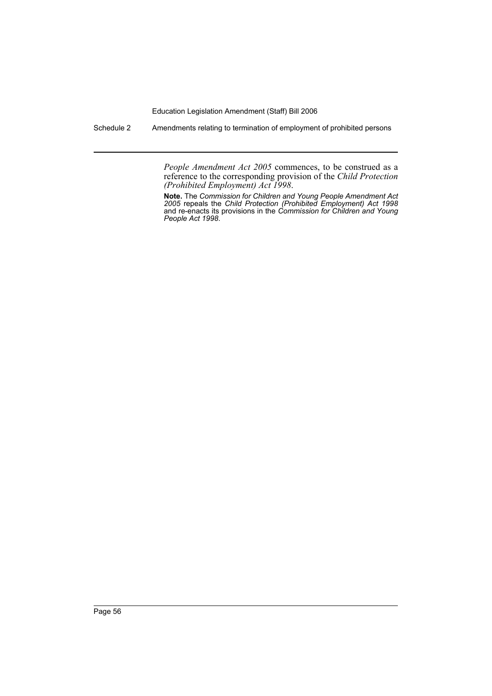Schedule 2 Amendments relating to termination of employment of prohibited persons

*People Amendment Act 2005* commences, to be construed as a reference to the corresponding provision of the *Child Protection (Prohibited Employment) Act 1998*.

**Note.** The *Commission for Children and Young People Amendment Act 2005* repeals the *Child Protection (Prohibited Employment) Act 1998* and re-enacts its provisions in the *Commission for Children and Young People Act 1998*.